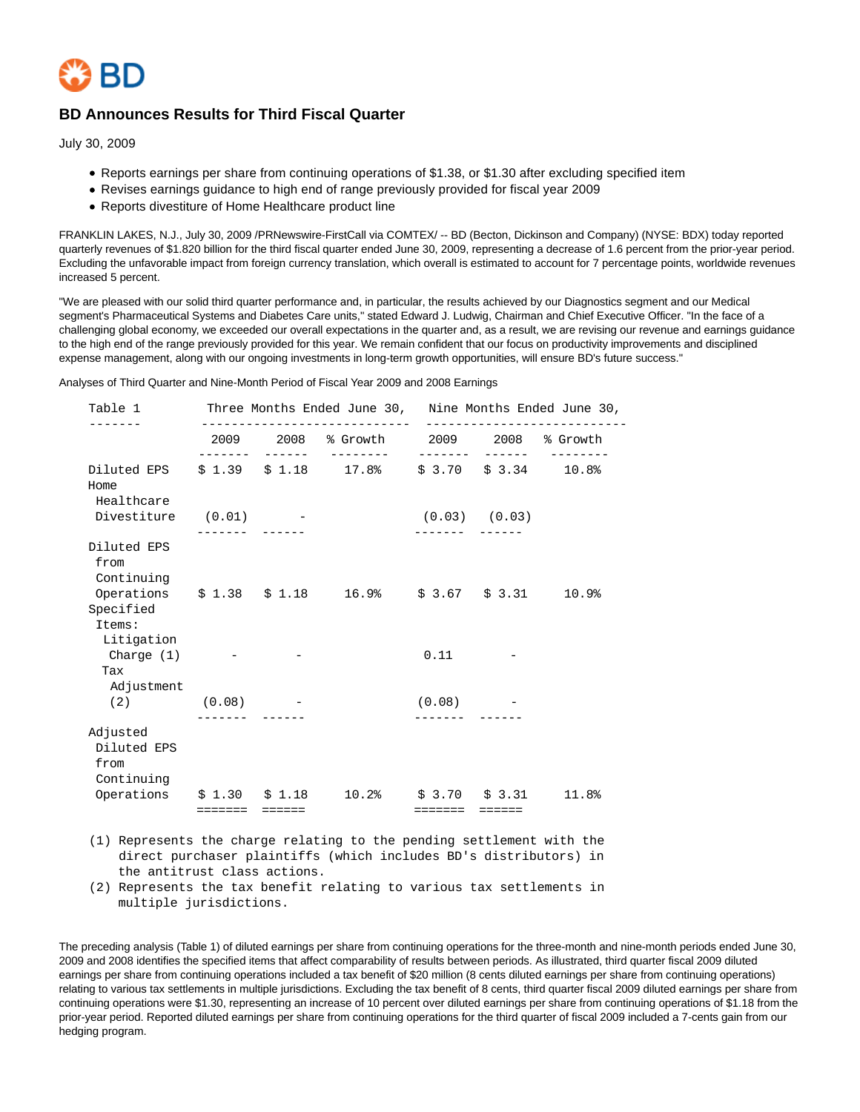

# **BD Announces Results for Third Fiscal Quarter**

July 30, 2009

- Reports earnings per share from continuing operations of \$1.38, or \$1.30 after excluding specified item
- Revises earnings guidance to high end of range previously provided for fiscal year 2009
- Reports divestiture of Home Healthcare product line

FRANKLIN LAKES, N.J., July 30, 2009 /PRNewswire-FirstCall via COMTEX/ -- BD (Becton, Dickinson and Company) (NYSE: BDX) today reported quarterly revenues of \$1.820 billion for the third fiscal quarter ended June 30, 2009, representing a decrease of 1.6 percent from the prior-year period. Excluding the unfavorable impact from foreign currency translation, which overall is estimated to account for 7 percentage points, worldwide revenues increased 5 percent.

"We are pleased with our solid third quarter performance and, in particular, the results achieved by our Diagnostics segment and our Medical segment's Pharmaceutical Systems and Diabetes Care units," stated Edward J. Ludwig, Chairman and Chief Executive Officer. "In the face of a challenging global economy, we exceeded our overall expectations in the quarter and, as a result, we are revising our revenue and earnings guidance to the high end of the range previously provided for this year. We remain confident that our focus on productivity improvements and disciplined expense management, along with our ongoing investments in long-term growth opportunities, will ensure BD's future success."

Analyses of Third Quarter and Nine-Month Period of Fiscal Year 2009 and 2008 Earnings

| Table 1                                                                           |                | Three Months Ended June 30, Nine Months Ended June 30, |                                  | ------------------ |       |
|-----------------------------------------------------------------------------------|----------------|--------------------------------------------------------|----------------------------------|--------------------|-------|
|                                                                                   |                | 2009 2008 % Growth 2009 2008 % Growth                  |                                  |                    |       |
| Diluted EPS<br>Home<br>Healthcare                                                 | --------       | $$1.39$ $$1.18$ $17.8$ $$3.70$ $$3.34$ $10.8$          |                                  |                    |       |
| Divestiture (0.01) -                                                              |                |                                                        | $(0.03)$ $(0.03)$<br>-------- -- |                    |       |
| Diluted EPS<br>from<br>Continuing                                                 |                |                                                        |                                  |                    |       |
| Operations \$1.38 \$1.18 16.9% \$3.67 \$3.31<br>Specified<br>Items:<br>Litigation |                |                                                        |                                  |                    | 10.9% |
| Charge (1)<br>Tax<br>Adjustment                                                   |                |                                                        | 0.11                             |                    |       |
| $(2)$ $(0.08)$                                                                    |                |                                                        | (0.08)                           |                    |       |
| Adjusted<br>Diluted EPS<br>from                                                   |                |                                                        |                                  |                    |       |
| Continuing<br>Operations \$1.30 \$1.18 10.2% \$3.70 \$3.31                        | ======= ====== |                                                        | ======= ======                   |                    | 11.8% |

 (1) Represents the charge relating to the pending settlement with the direct purchaser plaintiffs (which includes BD's distributors) in the antitrust class actions.

 (2) Represents the tax benefit relating to various tax settlements in multiple jurisdictions.

The preceding analysis (Table 1) of diluted earnings per share from continuing operations for the three-month and nine-month periods ended June 30, 2009 and 2008 identifies the specified items that affect comparability of results between periods. As illustrated, third quarter fiscal 2009 diluted earnings per share from continuing operations included a tax benefit of \$20 million (8 cents diluted earnings per share from continuing operations) relating to various tax settlements in multiple jurisdictions. Excluding the tax benefit of 8 cents, third quarter fiscal 2009 diluted earnings per share from continuing operations were \$1.30, representing an increase of 10 percent over diluted earnings per share from continuing operations of \$1.18 from the prior-year period. Reported diluted earnings per share from continuing operations for the third quarter of fiscal 2009 included a 7-cents gain from our hedging program.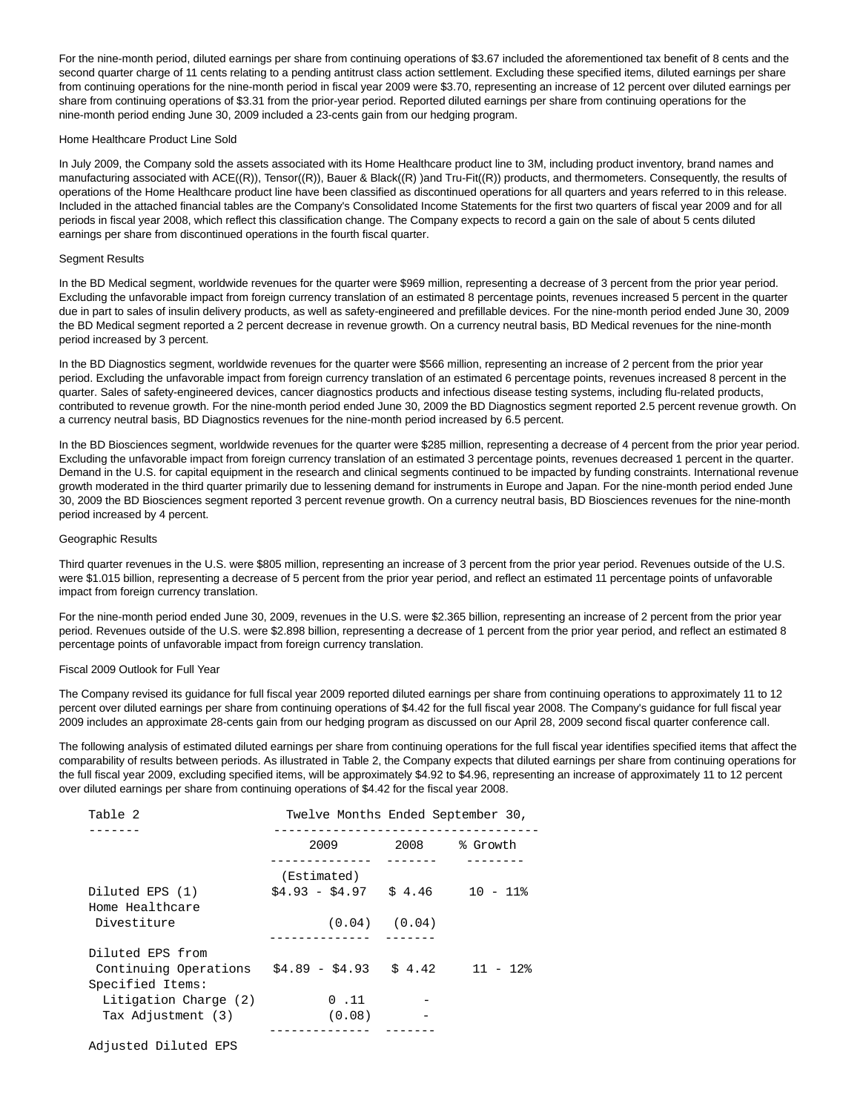For the nine-month period, diluted earnings per share from continuing operations of \$3.67 included the aforementioned tax benefit of 8 cents and the second quarter charge of 11 cents relating to a pending antitrust class action settlement. Excluding these specified items, diluted earnings per share from continuing operations for the nine-month period in fiscal year 2009 were \$3.70, representing an increase of 12 percent over diluted earnings per share from continuing operations of \$3.31 from the prior-year period. Reported diluted earnings per share from continuing operations for the nine-month period ending June 30, 2009 included a 23-cents gain from our hedging program.

#### Home Healthcare Product Line Sold

In July 2009, the Company sold the assets associated with its Home Healthcare product line to 3M, including product inventory, brand names and manufacturing associated with ACE((R)), Tensor((R)), Bauer & Black((R) )and Tru-Fit((R)) products, and thermometers. Consequently, the results of operations of the Home Healthcare product line have been classified as discontinued operations for all quarters and years referred to in this release. Included in the attached financial tables are the Company's Consolidated Income Statements for the first two quarters of fiscal year 2009 and for all periods in fiscal year 2008, which reflect this classification change. The Company expects to record a gain on the sale of about 5 cents diluted earnings per share from discontinued operations in the fourth fiscal quarter.

### Segment Results

In the BD Medical segment, worldwide revenues for the quarter were \$969 million, representing a decrease of 3 percent from the prior year period. Excluding the unfavorable impact from foreign currency translation of an estimated 8 percentage points, revenues increased 5 percent in the quarter due in part to sales of insulin delivery products, as well as safety-engineered and prefillable devices. For the nine-month period ended June 30, 2009 the BD Medical segment reported a 2 percent decrease in revenue growth. On a currency neutral basis, BD Medical revenues for the nine-month period increased by 3 percent.

In the BD Diagnostics segment, worldwide revenues for the quarter were \$566 million, representing an increase of 2 percent from the prior year period. Excluding the unfavorable impact from foreign currency translation of an estimated 6 percentage points, revenues increased 8 percent in the quarter. Sales of safety-engineered devices, cancer diagnostics products and infectious disease testing systems, including flu-related products, contributed to revenue growth. For the nine-month period ended June 30, 2009 the BD Diagnostics segment reported 2.5 percent revenue growth. On a currency neutral basis, BD Diagnostics revenues for the nine-month period increased by 6.5 percent.

In the BD Biosciences segment, worldwide revenues for the quarter were \$285 million, representing a decrease of 4 percent from the prior year period. Excluding the unfavorable impact from foreign currency translation of an estimated 3 percentage points, revenues decreased 1 percent in the quarter. Demand in the U.S. for capital equipment in the research and clinical segments continued to be impacted by funding constraints. International revenue growth moderated in the third quarter primarily due to lessening demand for instruments in Europe and Japan. For the nine-month period ended June 30, 2009 the BD Biosciences segment reported 3 percent revenue growth. On a currency neutral basis, BD Biosciences revenues for the nine-month period increased by 4 percent.

### Geographic Results

Third quarter revenues in the U.S. were \$805 million, representing an increase of 3 percent from the prior year period. Revenues outside of the U.S. were \$1.015 billion, representing a decrease of 5 percent from the prior year period, and reflect an estimated 11 percentage points of unfavorable impact from foreign currency translation.

For the nine-month period ended June 30, 2009, revenues in the U.S. were \$2.365 billion, representing an increase of 2 percent from the prior year period. Revenues outside of the U.S. were \$2.898 billion, representing a decrease of 1 percent from the prior year period, and reflect an estimated 8 percentage points of unfavorable impact from foreign currency translation.

#### Fiscal 2009 Outlook for Full Year

The Company revised its guidance for full fiscal year 2009 reported diluted earnings per share from continuing operations to approximately 11 to 12 percent over diluted earnings per share from continuing operations of \$4.42 for the full fiscal year 2008. The Company's guidance for full fiscal year 2009 includes an approximate 28-cents gain from our hedging program as discussed on our April 28, 2009 second fiscal quarter conference call.

The following analysis of estimated diluted earnings per share from continuing operations for the full fiscal year identifies specified items that affect the comparability of results between periods. As illustrated in Table 2, the Company expects that diluted earnings per share from continuing operations for the full fiscal year 2009, excluding specified items, will be approximately \$4.92 to \$4.96, representing an increase of approximately 11 to 12 percent over diluted earnings per share from continuing operations of \$4.42 for the fiscal year 2008.

| Table 2                                   | Twelve Months Ended September 30, |                   |             |
|-------------------------------------------|-----------------------------------|-------------------|-------------|
|                                           | 2009                              | 2008              | % Growth    |
|                                           | (Estimated)                       |                   |             |
| Diluted EPS (1)<br>Home Healthcare        | $$4.93 - $4.97$ \$ $4.46$         |                   | $10 - 11$ % |
| Divestiture                               |                                   | $(0.04)$ $(0.04)$ |             |
| Diluted EPS from                          |                                   |                   |             |
| Continuing Operations<br>Specified Items: | $$4.89 - $4.93$ $$4.42$ $11 - 12$ |                   |             |
| Litigation Charge (2)                     | 0.11                              |                   |             |
| Tax Adjustment (3)                        | (0.08)                            |                   |             |
|                                           |                                   |                   |             |
| Adjusted Diluted EPS                      |                                   |                   |             |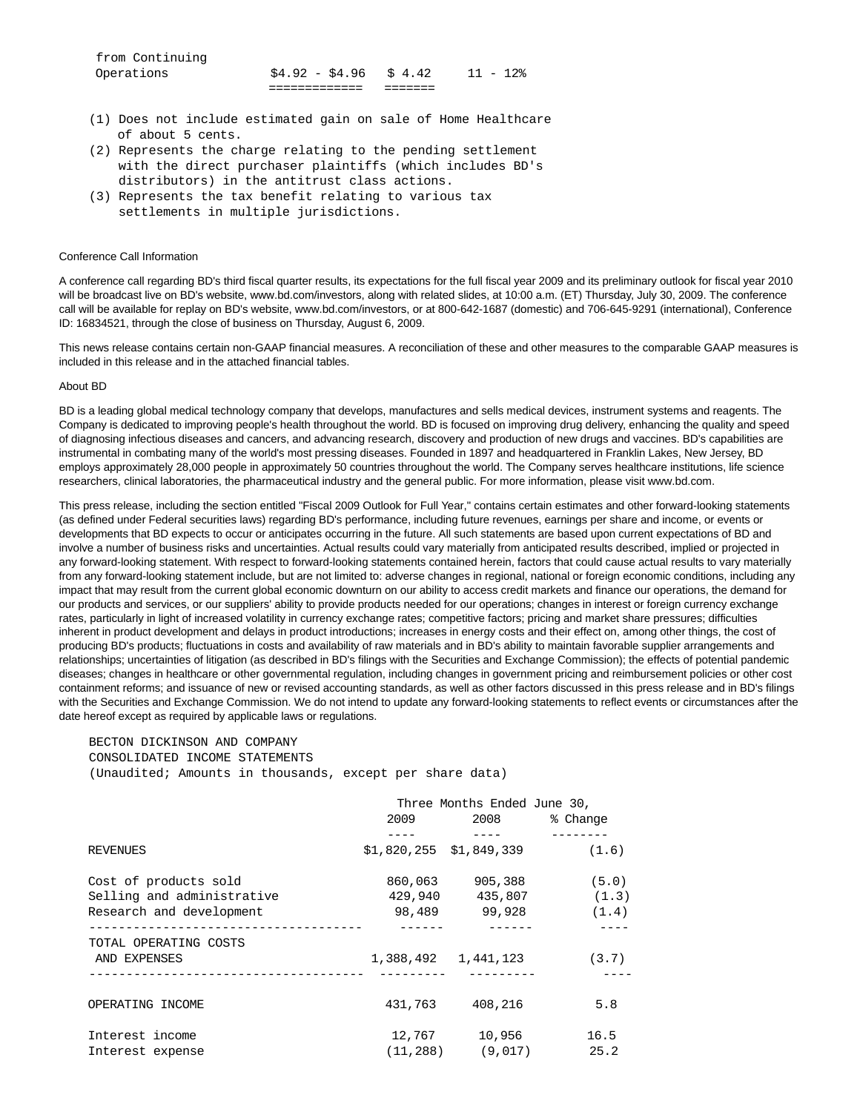| Operations      | $$4.92 - $4.96 \text{ } $4.42$ | $11 - 12$ |
|-----------------|--------------------------------|-----------|
| from Continuing |                                |           |

- (1) Does not include estimated gain on sale of Home Healthcare of about 5 cents.
- (2) Represents the charge relating to the pending settlement with the direct purchaser plaintiffs (which includes BD's distributors) in the antitrust class actions.
- (3) Represents the tax benefit relating to various tax settlements in multiple jurisdictions.

### Conference Call Information

A conference call regarding BD's third fiscal quarter results, its expectations for the full fiscal year 2009 and its preliminary outlook for fiscal year 2010 will be broadcast live on BD's website, www.bd.com/investors, along with related slides, at 10:00 a.m. (ET) Thursday, July 30, 2009. The conference call will be available for replay on BD's website, www.bd.com/investors, or at 800-642-1687 (domestic) and 706-645-9291 (international), Conference ID: 16834521, through the close of business on Thursday, August 6, 2009.

This news release contains certain non-GAAP financial measures. A reconciliation of these and other measures to the comparable GAAP measures is included in this release and in the attached financial tables.

#### About BD

BD is a leading global medical technology company that develops, manufactures and sells medical devices, instrument systems and reagents. The Company is dedicated to improving people's health throughout the world. BD is focused on improving drug delivery, enhancing the quality and speed of diagnosing infectious diseases and cancers, and advancing research, discovery and production of new drugs and vaccines. BD's capabilities are instrumental in combating many of the world's most pressing diseases. Founded in 1897 and headquartered in Franklin Lakes, New Jersey, BD employs approximately 28,000 people in approximately 50 countries throughout the world. The Company serves healthcare institutions, life science researchers, clinical laboratories, the pharmaceutical industry and the general public. For more information, please visit www.bd.com.

This press release, including the section entitled "Fiscal 2009 Outlook for Full Year," contains certain estimates and other forward-looking statements (as defined under Federal securities laws) regarding BD's performance, including future revenues, earnings per share and income, or events or developments that BD expects to occur or anticipates occurring in the future. All such statements are based upon current expectations of BD and involve a number of business risks and uncertainties. Actual results could vary materially from anticipated results described, implied or projected in any forward-looking statement. With respect to forward-looking statements contained herein, factors that could cause actual results to vary materially from any forward-looking statement include, but are not limited to: adverse changes in regional, national or foreign economic conditions, including any impact that may result from the current global economic downturn on our ability to access credit markets and finance our operations, the demand for our products and services, or our suppliers' ability to provide products needed for our operations; changes in interest or foreign currency exchange rates, particularly in light of increased volatility in currency exchange rates; competitive factors; pricing and market share pressures; difficulties inherent in product development and delays in product introductions; increases in energy costs and their effect on, among other things, the cost of producing BD's products; fluctuations in costs and availability of raw materials and in BD's ability to maintain favorable supplier arrangements and relationships; uncertainties of litigation (as described in BD's filings with the Securities and Exchange Commission); the effects of potential pandemic diseases; changes in healthcare or other governmental regulation, including changes in government pricing and reimbursement policies or other cost containment reforms; and issuance of new or revised accounting standards, as well as other factors discussed in this press release and in BD's filings with the Securities and Exchange Commission. We do not intend to update any forward-looking statements to reflect events or circumstances after the date hereof except as required by applicable laws or regulations.

# BECTON DICKINSON AND COMPANY CONSOLIDATED INCOME STATEMENTS (Unaudited; Amounts in thousands, except per share data)

|                            | 2009 — 100 | Three Months Ended June 30,<br>2008 — 100 | % Change |
|----------------------------|------------|-------------------------------------------|----------|
|                            |            |                                           |          |
| <b>REVENUES</b>            |            | $$1,820,255$ $$1,849,339$                 | (1.6)    |
| Cost of products sold      | 860,063    | 905,388                                   | (5.0)    |
| Selling and administrative |            | 429,940 435,807                           | (1.3)    |
| Research and development   |            | 98,489 99,928                             | (1.4)    |
| TOTAL OPERATING COSTS      |            |                                           |          |
| AND EXPENSES               |            | 1,388,492    1,441,123                    | (3.7)    |
|                            |            |                                           |          |
| OPERATING INCOME           |            | 431,763 408,216                           | 5.8      |
| Interest income            | 12,767     | 10,956                                    | 16.5     |
| Interest expense           |            | $(11.288)$ $(9.017)$                      | 25.2     |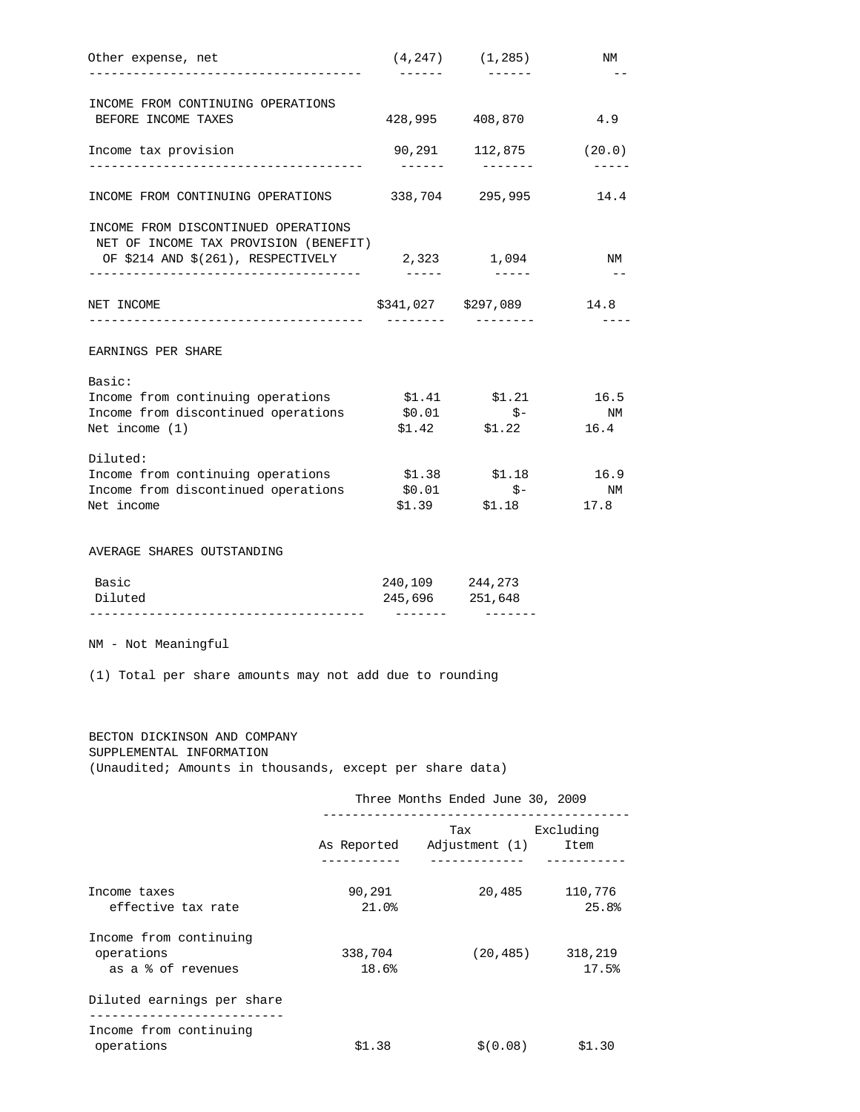|                                                                                                                     |                  |                  | $(4,247)$ $(1,285)$                         | ΝM                                   |
|---------------------------------------------------------------------------------------------------------------------|------------------|------------------|---------------------------------------------|--------------------------------------|
| INCOME FROM CONTINUING OPERATIONS                                                                                   |                  |                  |                                             |                                      |
| BEFORE INCOME TAXES                                                                                                 |                  | 428,995          | 408,870                                     | 4.9                                  |
| Income tax provision                                                                                                |                  | 90,291<br>------ |                                             | $112,875$ (20.0)<br>$- - - - -$      |
| INCOME FROM CONTINUING OPERATIONS                                                                                   |                  |                  | 338,704 295,995                             | 14.4                                 |
| INCOME FROM DISCONTINUED OPERATIONS<br>NET OF INCOME TAX PROVISION (BENEFIT)<br>OF \$214 AND \$(261), RESPECTIVELY  |                  |                  | 2,323 1,094                                 | NM                                   |
| NET INCOME                                                                                                          |                  | -------          | \$341,027 \$297,089                         | 14.8                                 |
| EARNINGS PER SHARE                                                                                                  |                  |                  |                                             | $---$                                |
|                                                                                                                     |                  |                  |                                             |                                      |
| Basic:<br>Income from continuing operations                                                                         |                  |                  | $$1.41$ $$1.21$ $16.5$                      |                                      |
| Income from discontinued operations                                                                                 |                  |                  | $$0.01$ $$-$                                | N/M                                  |
| Net income $(1)$                                                                                                    |                  |                  | $$1.42$ $$1.22$ $16.4$                      |                                      |
|                                                                                                                     |                  |                  |                                             |                                      |
| Diluted:<br>Income from continuing operations \$1.38 \$1.18                                                         |                  |                  |                                             | 16.9                                 |
| Income from discontinued operations                                                                                 |                  | \$0.01           | $\uparrow$ -                                | N <sub>M</sub>                       |
| Net income                                                                                                          |                  |                  | $$1.39$ $$1.18$                             | 17.8                                 |
| Basic                                                                                                               |                  |                  | 240, 109 244, 273                           |                                      |
| Diluted<br>________________________________                                                                         |                  | --------         | 245,696 251,648                             |                                      |
| NM - Not Meaningful                                                                                                 |                  |                  |                                             |                                      |
| (1) Total per share amounts may not add due to rounding<br>BECTON DICKINSON AND COMPANY<br>SUPPLEMENTAL INFORMATION |                  |                  |                                             |                                      |
| (Unaudited; Amounts in thousands, except per share data)                                                            |                  |                  | Three Months Ended June 30, 2009            |                                      |
|                                                                                                                     |                  |                  | Tax Excluding<br>As Reported Adjustment (1) | Item                                 |
|                                                                                                                     |                  |                  | ______________                              |                                      |
| Income taxes<br>effective tax rate                                                                                  | 90,291<br>21.0%  |                  | 20,485                                      |                                      |
| Income from continuing<br>operations<br>as a % of revenues                                                          | 338,704<br>18.6% |                  | (20, 485)                                   | 110,776<br>25.8%<br>318,219<br>17.5% |
| Diluted earnings per share<br>___________________________                                                           |                  |                  |                                             |                                      |
| Income from continuing                                                                                              |                  |                  |                                             |                                      |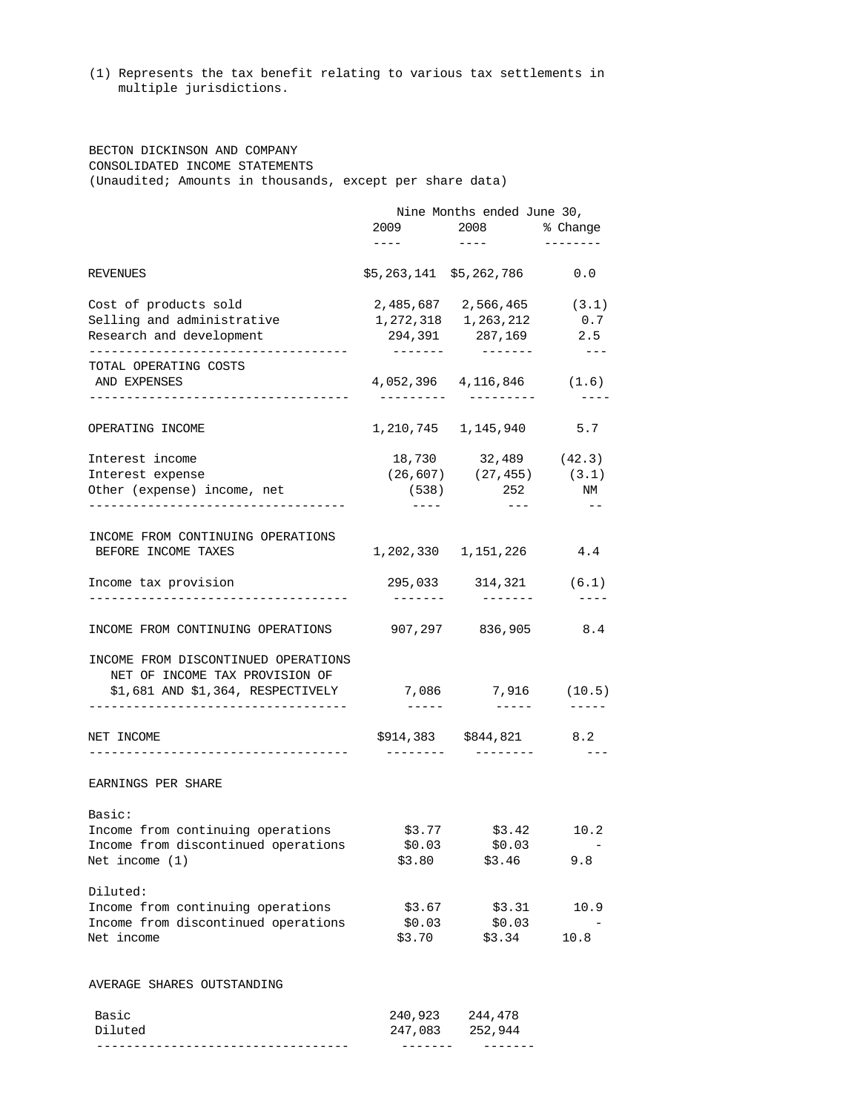(1) Represents the tax benefit relating to various tax settlements in multiple jurisdictions.

 BECTON DICKINSON AND COMPANY CONSOLIDATED INCOME STATEMENTS (Unaudited; Amounts in thousands, except per share data)

|                                                      | $\begin{tabular}{lllllllll} \multicolumn{2}{c}{\textbf{1} & \textbf{2} & \textbf{3} & \textbf{5} & \textbf{1} & \textbf{1} & \textbf{1} & \textbf{1} & \textbf{1} & \textbf{1} & \textbf{1} & \textbf{1} & \textbf{1} & \textbf{1} & \textbf{1} & \textbf{1} & \textbf{1} & \textbf{1} & \textbf{1} & \textbf{1} & \textbf{1} & \textbf{1} & \textbf{1} & \textbf{1} & \textbf{1} & \textbf{1} & \textbf{1} & \textbf{1} & \textbf$ | Nine Months ended June 30,<br>2009 2008 % Change<br>$\sim$ $   \sim$ $\sim$ $\sim$ | ---------           |
|------------------------------------------------------|-------------------------------------------------------------------------------------------------------------------------------------------------------------------------------------------------------------------------------------------------------------------------------------------------------------------------------------------------------------------------------------------------------------------------------------|------------------------------------------------------------------------------------|---------------------|
| REVENUES                                             |                                                                                                                                                                                                                                                                                                                                                                                                                                     | $$5,263,141$ $$5,262,786$ 0.0                                                      |                     |
| Cost of products sold                                |                                                                                                                                                                                                                                                                                                                                                                                                                                     | 2,485,687 2,566,465 (3.1)                                                          |                     |
| Selling and administrative                           |                                                                                                                                                                                                                                                                                                                                                                                                                                     | 1,272,318 1,263,212                                                                | 0.7                 |
| Research and development                             |                                                                                                                                                                                                                                                                                                                                                                                                                                     | 294,391 287,169 2.5                                                                |                     |
| TOTAL OPERATING COSTS                                |                                                                                                                                                                                                                                                                                                                                                                                                                                     | ________                                                                           | $\frac{1}{2}$       |
| AND EXPENSES<br>------------------------------------ | __________                                                                                                                                                                                                                                                                                                                                                                                                                          | 4,052,396 4,116,846 (1.6)<br>__________                                            | $- - - -$           |
| OPERATING INCOME                                     |                                                                                                                                                                                                                                                                                                                                                                                                                                     | 1, 210, 745 1, 145, 940 5.7                                                        |                     |
|                                                      |                                                                                                                                                                                                                                                                                                                                                                                                                                     |                                                                                    |                     |
| Interest income                                      |                                                                                                                                                                                                                                                                                                                                                                                                                                     | 18,730 32,489 (42.3)                                                               |                     |
| Interest expense                                     |                                                                                                                                                                                                                                                                                                                                                                                                                                     | $(26, 607)$ $(27, 455)$ $(3.1)$                                                    |                     |
| Other (expense) income, net                          |                                                                                                                                                                                                                                                                                                                                                                                                                                     | $(538)$ 252                                                                        | N/M                 |
| --------------------------------                     |                                                                                                                                                                                                                                                                                                                                                                                                                                     |                                                                                    |                     |
| INCOME FROM CONTINUING OPERATIONS                    |                                                                                                                                                                                                                                                                                                                                                                                                                                     |                                                                                    |                     |
| BEFORE INCOME TAXES                                  |                                                                                                                                                                                                                                                                                                                                                                                                                                     | 1, 202, 330 1, 151, 226 4.4                                                        |                     |
| Income tax provision                                 | --------                                                                                                                                                                                                                                                                                                                                                                                                                            | 295,033 314,321 (6.1)<br>________                                                  | $\frac{1}{2}$       |
| INCOME FROM CONTINUING OPERATIONS                    | 907,297 836,905 8.4                                                                                                                                                                                                                                                                                                                                                                                                                 |                                                                                    |                     |
| INCOME FROM DISCONTINUED OPERATIONS                  |                                                                                                                                                                                                                                                                                                                                                                                                                                     |                                                                                    |                     |
| NET OF INCOME TAX PROVISION OF                       |                                                                                                                                                                                                                                                                                                                                                                                                                                     |                                                                                    |                     |
| \$1,681 AND \$1,364, RESPECTIVELY 7,086 7,916 (10.5) |                                                                                                                                                                                                                                                                                                                                                                                                                                     |                                                                                    |                     |
|                                                      | $- - - - - -$                                                                                                                                                                                                                                                                                                                                                                                                                       | -------                                                                            |                     |
| NET INCOME                                           |                                                                                                                                                                                                                                                                                                                                                                                                                                     | \$914,383 \$844,821 8.2                                                            |                     |
|                                                      | ---------                                                                                                                                                                                                                                                                                                                                                                                                                           |                                                                                    | $\qquad \qquad - -$ |
| EARNINGS PER SHARE                                   |                                                                                                                                                                                                                                                                                                                                                                                                                                     |                                                                                    |                     |
| Basic:                                               |                                                                                                                                                                                                                                                                                                                                                                                                                                     |                                                                                    |                     |
| Income from continuing operations                    |                                                                                                                                                                                                                                                                                                                                                                                                                                     | $$3.77$ $$3.42$                                                                    | 10.2                |
| Income from discontinued operations                  | \$0.03                                                                                                                                                                                                                                                                                                                                                                                                                              | \$0.03                                                                             |                     |
| Net income $(1)$                                     | \$3.80                                                                                                                                                                                                                                                                                                                                                                                                                              | \$3.46                                                                             | 9.8                 |
| Diluted:                                             |                                                                                                                                                                                                                                                                                                                                                                                                                                     |                                                                                    |                     |
| Income from continuing operations                    | \$3.67                                                                                                                                                                                                                                                                                                                                                                                                                              | \$3.31                                                                             | 10.9                |
| Income from discontinued operations<br>Net income    | \$0.03<br>\$3.70                                                                                                                                                                                                                                                                                                                                                                                                                    | \$0.03<br>\$3.34                                                                   | 10.8                |
|                                                      |                                                                                                                                                                                                                                                                                                                                                                                                                                     |                                                                                    |                     |
| AVERAGE SHARES OUTSTANDING                           |                                                                                                                                                                                                                                                                                                                                                                                                                                     |                                                                                    |                     |
| Basic                                                | 240,923                                                                                                                                                                                                                                                                                                                                                                                                                             | 244,478                                                                            |                     |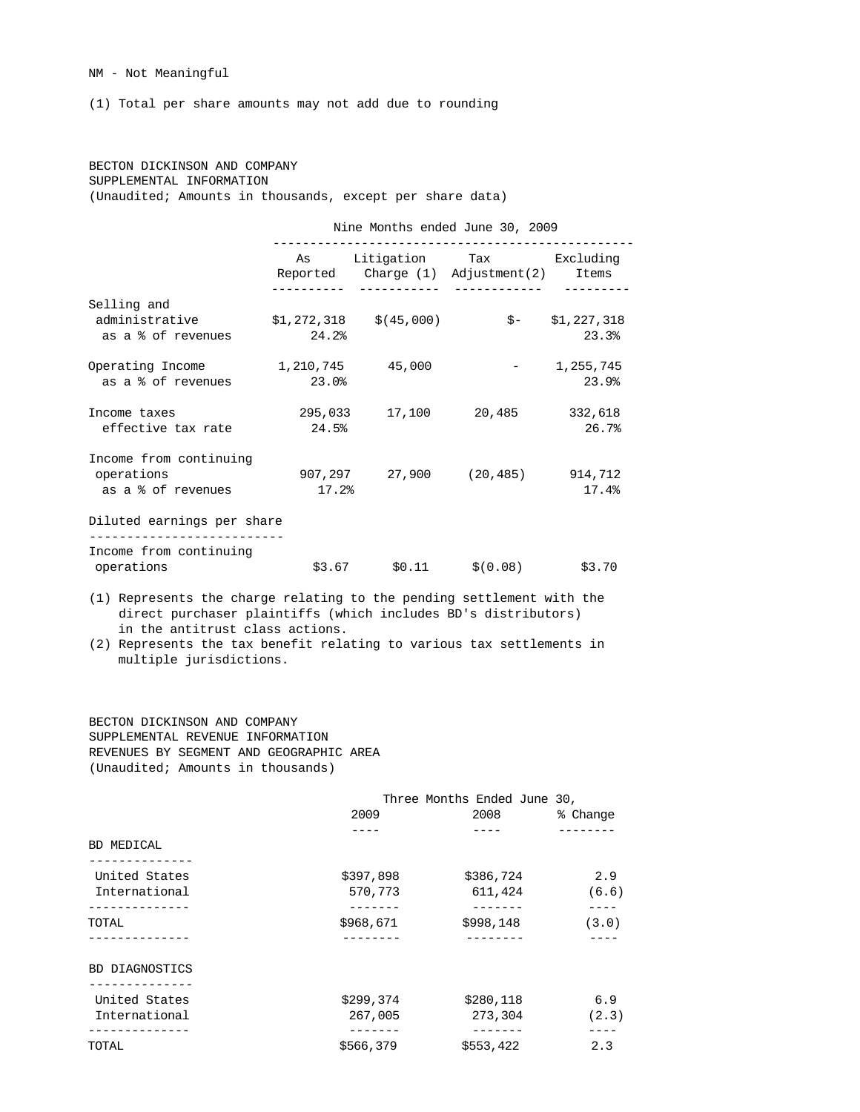NM - Not Meaningful

(1) Total per share amounts may not add due to rounding

# BECTON DICKINSON AND COMPANY SUPPLEMENTAL INFORMATION (Unaudited; Amounts in thousands, except per share data)

Nine Months ended June 30, 2009

|                                   |       |                           | As Litigation Tax Excluding              |                  |
|-----------------------------------|-------|---------------------------|------------------------------------------|------------------|
|                                   |       |                           | Reported Charge (1) Adjustment (2) Items |                  |
| Selling and                       |       |                           |                                          |                  |
| administrative                    |       | $$1,272,318$ $$ (45,000)$ |                                          | $$ - $1,227,318$ |
| as a % of revenues                | 24.2% |                           |                                          | 23.3%            |
| Operating Income 1,210,745 45,000 |       |                           | and the contract of the                  | 1,255,745        |
| as a % of revenues                | 23.0% |                           |                                          | 23.9%            |
| Income taxes                      |       |                           | 295,033 17,100 20,485                    | 332,618          |
| effective tax rate                | 24.5% |                           |                                          | 26.7%            |
| Income from continuing            |       |                           |                                          |                  |
| operations                        |       |                           | 907,297 27,900 (20,485) 914,712          |                  |
| as a % of revenues                | 17.2% |                           |                                          | 17.4%            |
| Diluted earnings per share        |       |                           |                                          |                  |
| Income from continuing            |       |                           |                                          |                  |
| operations                        |       |                           | $$3.67$ $$0.11$ $$(0.08)$                | \$3.70           |

 (1) Represents the charge relating to the pending settlement with the direct purchaser plaintiffs (which includes BD's distributors) in the antitrust class actions.

 (2) Represents the tax benefit relating to various tax settlements in multiple jurisdictions.

 BECTON DICKINSON AND COMPANY SUPPLEMENTAL REVENUE INFORMATION REVENUES BY SEGMENT AND GEOGRAPHIC AREA (Unaudited; Amounts in thousands)

|                       |           | Three Months Ended June 30, |          |
|-----------------------|-----------|-----------------------------|----------|
|                       | 2009      | 2008                        | % Change |
|                       |           |                             |          |
| BD MEDICAL            |           |                             |          |
| United States         | \$397,898 | \$386,724                   | 2.9      |
| International         | 570,773   | 611,424                     | (6.6)    |
|                       |           |                             |          |
| <b>TOTAL</b>          | \$968,671 | \$998,148                   | (3.0)    |
|                       |           |                             |          |
| <b>BD DIAGNOSTICS</b> |           |                             |          |
| United States         | \$299,374 | \$280,118                   | 6.9      |
| International         | 267,005   | 273,304                     | (2.3)    |
| .                     |           |                             |          |
| TOTAL                 | \$566,379 | \$553,422                   | 2.3      |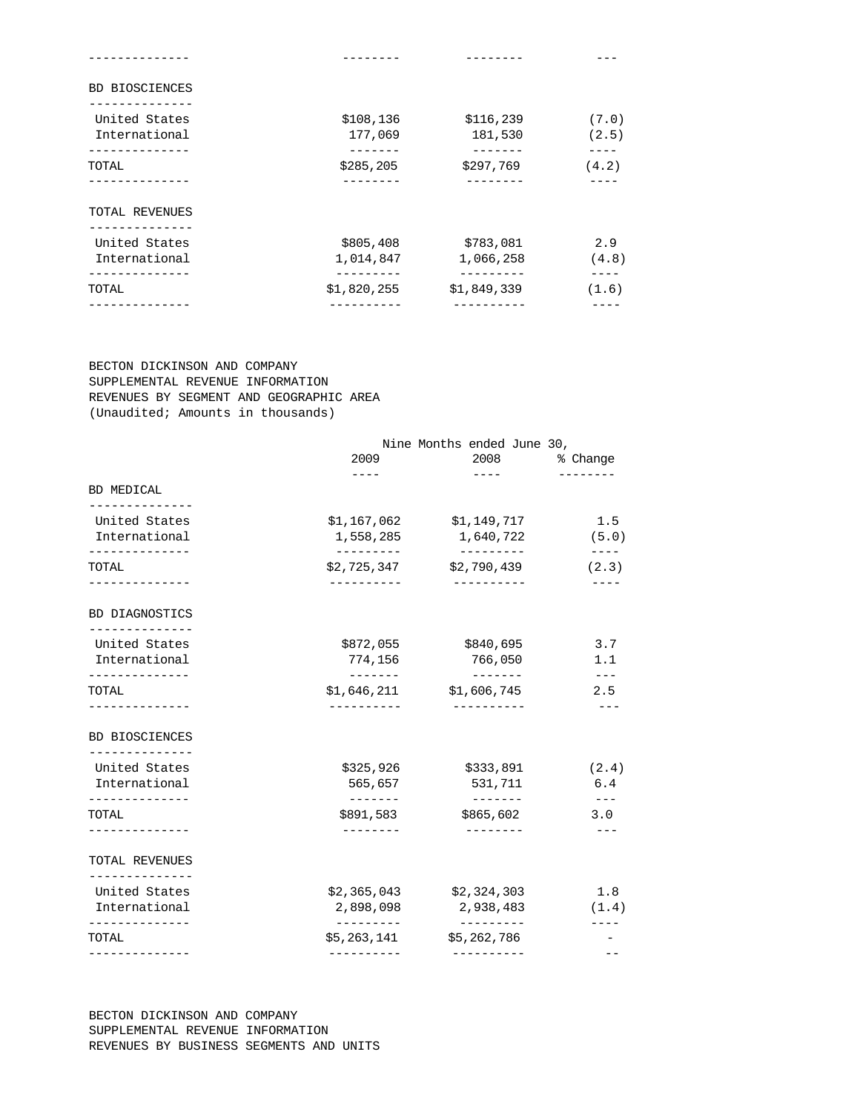| BD BIOSCIENCES                 |                        |                          |                |
|--------------------------------|------------------------|--------------------------|----------------|
| United States<br>International | \$108,136<br>177,069   | \$116,239<br>181,530     | (7.0)<br>(2.5) |
| <b>TOTAL</b>                   | _______<br>\$285,205   | -------<br>\$297,769     | ----<br>(4.2)  |
| TOTAL REVENUES                 |                        |                          |                |
| United States<br>International | \$805,408<br>1,014,847 | \$783,081<br>1,066,258   | 2.9<br>(4.8)   |
| ------------<br>TOTAL          | \$1,820,255            | ---------<br>\$1,849,339 | (1.6)          |
|                                |                        |                          |                |

 BECTON DICKINSON AND COMPANY SUPPLEMENTAL REVENUE INFORMATION REVENUES BY SEGMENT AND GEOGRAPHIC AREA (Unaudited; Amounts in thousands)

|                                          | 2009                      | Nine Months ended June 30,<br>2008 8     | % Change                    |
|------------------------------------------|---------------------------|------------------------------------------|-----------------------------|
| BD MEDICAL                               |                           | $- - - - -$                              |                             |
| -------------<br>United States           |                           | $$1,167,062$ $$1,149,717$                | 1.5                         |
| International                            | 1,558,285                 | 1,640,722                                | (5.0)                       |
| -------------<br>TOTAL<br>-------------- | ----------<br>----------- | ----------<br>\$2,725,347 \$2,790,439    | $- - - -$<br>(2.3)<br>$---$ |
| BD DIAGNOSTICS                           |                           |                                          |                             |
| --------------<br>United States          |                           | \$872,055 \$840,695                      | 3.7                         |
| International<br>-------------           | --------                  | 774,156 766,050                          | 1.1<br>$---$                |
| TOTAL                                    | -----------               | $$1,646,211$ $$1,606,745$<br>----------- | 2.5                         |
| ------------<br><b>BD BIOSCIENCES</b>    |                           |                                          |                             |
| --------------<br>United States          | \$325,926                 | \$333,891                                | (2.4)                       |
| International                            | 565,657                   | 531,711                                  | 6.4                         |
| . <u>.</u> .<br>TOTAL                    | --------<br>\$891,583     | --------<br>\$865,602                    | $\qquad \qquad - -$<br>3.0  |
| ------------                             |                           | $- - - - - - - -$                        | $- - -$                     |
| TOTAL REVENUES<br>------------           |                           |                                          |                             |
| United States                            |                           | $$2,365,043$ $$2,324,303$                | 1.8                         |
| International<br>--------------          | ----------                | 2,898,098 2,938,483<br>__________        | (1.4)                       |
| TOTAL                                    | \$5,263,141               | \$5,262,786                              |                             |
| -------------                            | ----------                | ----------                               | $ -$                        |

 BECTON DICKINSON AND COMPANY SUPPLEMENTAL REVENUE INFORMATION REVENUES BY BUSINESS SEGMENTS AND UNITS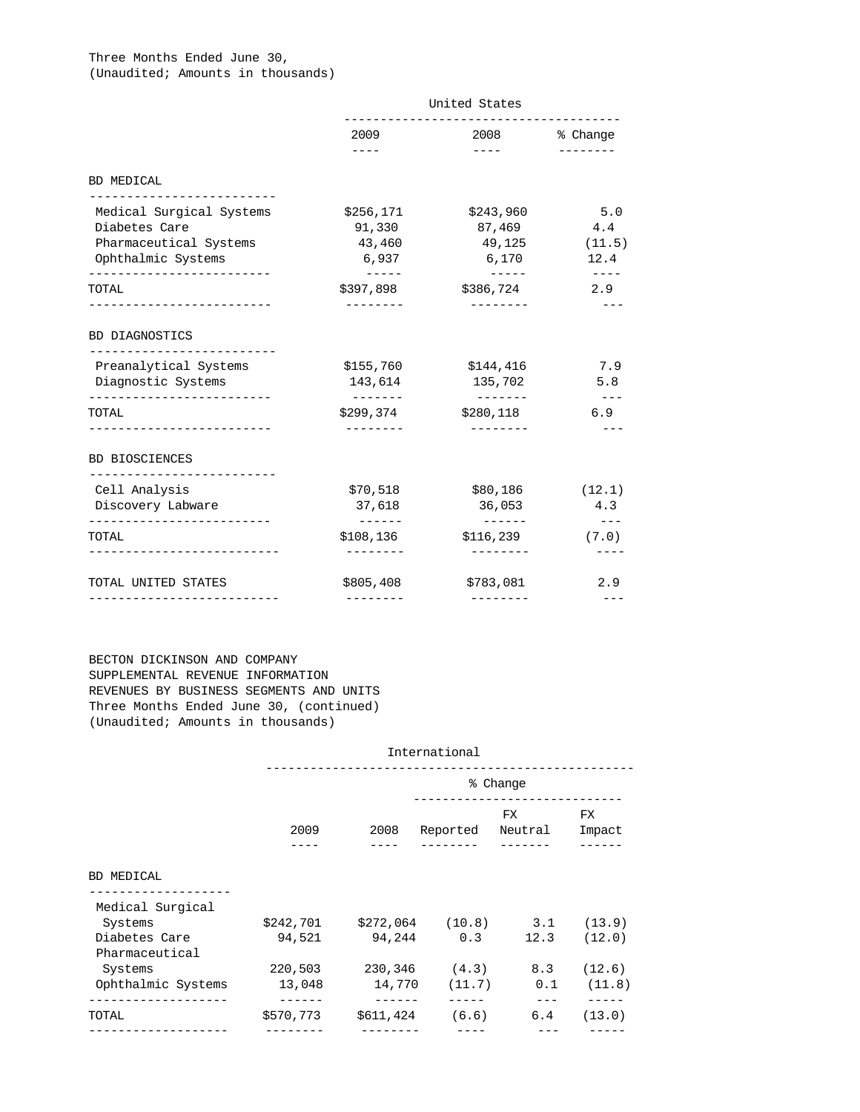## Three Months Ended June 30, (Unaudited; Amounts in thousands)

|                                                                                              | United States                              |                                                                                                                                                                                                                                                                                                                                                                                                                                                                            |                                 |  |
|----------------------------------------------------------------------------------------------|--------------------------------------------|----------------------------------------------------------------------------------------------------------------------------------------------------------------------------------------------------------------------------------------------------------------------------------------------------------------------------------------------------------------------------------------------------------------------------------------------------------------------------|---------------------------------|--|
|                                                                                              | 2009                                       |                                                                                                                                                                                                                                                                                                                                                                                                                                                                            | 2008 & Change                   |  |
| BD MEDICAL                                                                                   | $- - - - -$                                | $\frac{1}{2} \left( \frac{1}{2} \right) \left( \frac{1}{2} \right) \left( \frac{1}{2} \right) \left( \frac{1}{2} \right) \left( \frac{1}{2} \right) \left( \frac{1}{2} \right) \left( \frac{1}{2} \right) \left( \frac{1}{2} \right) \left( \frac{1}{2} \right) \left( \frac{1}{2} \right) \left( \frac{1}{2} \right) \left( \frac{1}{2} \right) \left( \frac{1}{2} \right) \left( \frac{1}{2} \right) \left( \frac{1}{2} \right) \left( \frac{1}{2} \right) \left( \frac$ | --------                        |  |
| ------------------------<br>Medical Surgical Systems                                         | \$256,171                                  | \$243,960                                                                                                                                                                                                                                                                                                                                                                                                                                                                  | 5.0                             |  |
| Diabetes Care                                                                                | 91,330                                     | 87,469                                                                                                                                                                                                                                                                                                                                                                                                                                                                     | 4.4                             |  |
| Pharmaceutical Systems                                                                       | 43,460                                     | 49,125                                                                                                                                                                                                                                                                                                                                                                                                                                                                     | (11.5)                          |  |
| Ophthalmic Systems                                                                           | 6,937                                      | 6,170                                                                                                                                                                                                                                                                                                                                                                                                                                                                      | 12.4                            |  |
| TOTAL<br>---------------------                                                               | $- - - - -$<br>\$397,898<br>---------      | $\frac{1}{2}$<br>\$386,724<br>---------                                                                                                                                                                                                                                                                                                                                                                                                                                    | $- - - - -$<br>2.9<br>$- - -$   |  |
| BD DIAGNOSTICS<br>___________________________<br>Preanalytical Systems<br>Diagnostic Systems | \$155,760<br>143,614                       | \$144,416<br>135,702                                                                                                                                                                                                                                                                                                                                                                                                                                                       | 7.9<br>5.8                      |  |
| TOTAL<br>---------------------                                                               | --------<br>\$299,374<br>$- - - - - - - -$ | --------<br>\$280,118<br>$- - - - - - - -$                                                                                                                                                                                                                                                                                                                                                                                                                                 | $\frac{1}{2}$<br>6.9<br>$- - -$ |  |
| <b>BD BIOSCIENCES</b>                                                                        |                                            |                                                                                                                                                                                                                                                                                                                                                                                                                                                                            |                                 |  |
| --------------------------<br>Cell Analysis                                                  | \$70,518                                   | \$80,186                                                                                                                                                                                                                                                                                                                                                                                                                                                                   | (12.1)                          |  |
| Discovery Labware                                                                            | 37,618                                     | 36,053                                                                                                                                                                                                                                                                                                                                                                                                                                                                     | 4.3                             |  |
| -------------------------<br><b>TOTAL</b>                                                    | \$108,136                                  | -------<br>\$116,239                                                                                                                                                                                                                                                                                                                                                                                                                                                       | $\frac{1}{2}$<br>(7.0)          |  |
|                                                                                              | ---------                                  | ---------                                                                                                                                                                                                                                                                                                                                                                                                                                                                  |                                 |  |
| TOTAL UNITED STATES                                                                          | \$805,408                                  | \$783,081                                                                                                                                                                                                                                                                                                                                                                                                                                                                  | 2.9                             |  |
|                                                                                              |                                            |                                                                                                                                                                                                                                                                                                                                                                                                                                                                            |                                 |  |

# BECTON DICKINSON AND COMPANY SUPPLEMENTAL REVENUE INFORMATION REVENUES BY BUSINESS SEGMENTS AND UNITS Three Months Ended June 30, (continued) (Unaudited; Amounts in thousands)

|                                 |           |         | International    |               |              |
|---------------------------------|-----------|---------|------------------|---------------|--------------|
|                                 |           |         |                  | % Change      |              |
|                                 | 2009      | 2008    | Reported         | FX<br>Neutral | FX<br>Impact |
| BD MEDICAL                      |           |         |                  |               |              |
| Medical Surgical<br>Systems     | \$242,701 |         | \$272,064 (10.8) | 3.1           | (13.9)       |
| Diabetes Care<br>Pharmaceutical | 94,521    | 94,244  | 0.3              | 12.3          | (12.0)       |
| Systems                         | 220,503   | 230,346 | (4.3)            | 8.3           | (12.6)       |
| Ophthalmic Systems              | 13,048    | 14,770  | (11.7)           | 0.1           | (11.8)       |
|                                 |           |         |                  |               |              |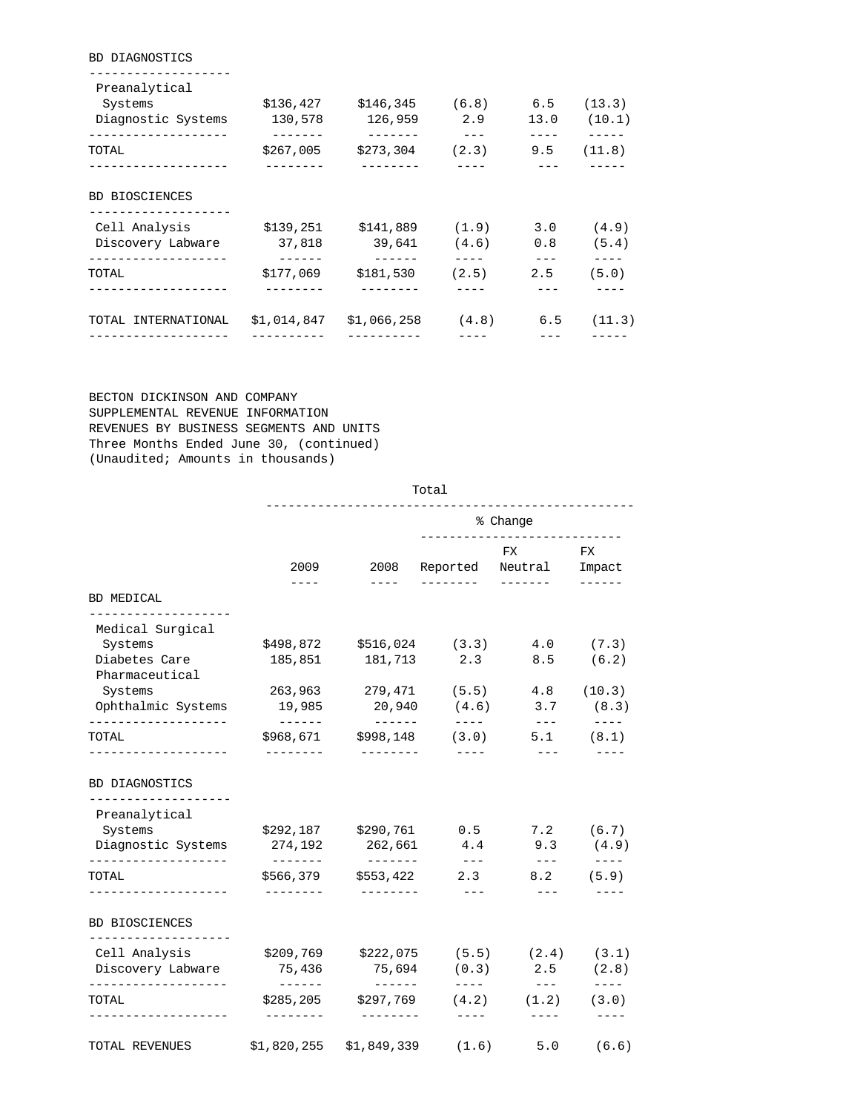| 130,578 | 126,959   | 2.9                                              | 13.0                   | (13.3)<br>(10.1)                                                                     |
|---------|-----------|--------------------------------------------------|------------------------|--------------------------------------------------------------------------------------|
|         | -------   | $--$<br>(2.3)                                    |                        | (11.8)                                                                               |
|         |           |                                                  |                        |                                                                                      |
|         |           |                                                  |                        |                                                                                      |
|         |           |                                                  |                        | (4.9)                                                                                |
| 37,818  |           |                                                  |                        | (5.4)                                                                                |
| ------  | -------   |                                                  | $--$                   |                                                                                      |
|         |           |                                                  |                        | (5.0)                                                                                |
|         |           |                                                  |                        |                                                                                      |
|         | \$177,069 | \$136,427<br>\$267,005<br>\$139,251<br>\$181,530 | \$146,345<br>\$273,304 | $(6.8)$ 6.5<br>9.5<br>$$141,889$ (1.9)<br>3.0<br>39,641 (4.6)<br>0.8<br>(2.5)<br>2.5 |

 BECTON DICKINSON AND COMPANY SUPPLEMENTAL REVENUE INFORMATION REVENUES BY BUSINESS SEGMENTS AND UNITS Three Months Ended June 30, (continued) (Unaudited; Amounts in thousands)

BD DIAGNOSTICS

|                                                                       | Total                                                                                                                                                                                                                                                                                                                                                                                                                                                                                                          |                         |                      |                               |                               |  |
|-----------------------------------------------------------------------|----------------------------------------------------------------------------------------------------------------------------------------------------------------------------------------------------------------------------------------------------------------------------------------------------------------------------------------------------------------------------------------------------------------------------------------------------------------------------------------------------------------|-------------------------|----------------------|-------------------------------|-------------------------------|--|
|                                                                       |                                                                                                                                                                                                                                                                                                                                                                                                                                                                                                                |                         |                      | % Change                      |                               |  |
|                                                                       | 2009                                                                                                                                                                                                                                                                                                                                                                                                                                                                                                           | 2008                    | Reported             | FX<br>Neutral                 | FX<br>Impact                  |  |
| BD MEDICAL                                                            | $- - - -$                                                                                                                                                                                                                                                                                                                                                                                                                                                                                                      | $- - - -$               |                      |                               | $- - - - -$                   |  |
| Medical Surgical                                                      |                                                                                                                                                                                                                                                                                                                                                                                                                                                                                                                |                         |                      |                               |                               |  |
| Systems                                                               | \$498,872                                                                                                                                                                                                                                                                                                                                                                                                                                                                                                      | \$516,024               | (3.3)                | 4.0                           | (7.3)                         |  |
| Diabetes Care<br>Pharmaceutical                                       | 185,851                                                                                                                                                                                                                                                                                                                                                                                                                                                                                                        | 181,713                 | 2.3                  | 8.5                           | (6.2)                         |  |
| Systems                                                               | 263,963                                                                                                                                                                                                                                                                                                                                                                                                                                                                                                        | 279,471                 | (5.5)                | 4.8                           | (10.3)                        |  |
| Ophthalmic Systems<br>------------------                              | 19,985                                                                                                                                                                                                                                                                                                                                                                                                                                                                                                         | 20,940<br>$- - - - - -$ | (4.6)<br>$- - - - -$ | 3.7<br>$- - -$                | (8.3)<br>$- - - -$            |  |
| TOTAL                                                                 | \$968,671                                                                                                                                                                                                                                                                                                                                                                                                                                                                                                      | \$998,148               | (3.0)                | 5.1                           | (8.1)                         |  |
| Preanalytical<br>Systems<br>Diagnostic Systems<br>------------------- | \$292,187<br>274,192<br>$\begin{array}{cccccccccc} \multicolumn{2}{c}{} & \multicolumn{2}{c}{} & \multicolumn{2}{c}{} & \multicolumn{2}{c}{} & \multicolumn{2}{c}{} & \multicolumn{2}{c}{} & \multicolumn{2}{c}{} & \multicolumn{2}{c}{} & \multicolumn{2}{c}{} & \multicolumn{2}{c}{} & \multicolumn{2}{c}{} & \multicolumn{2}{c}{} & \multicolumn{2}{c}{} & \multicolumn{2}{c}{} & \multicolumn{2}{c}{} & \multicolumn{2}{c}{} & \multicolumn{2}{c}{} & \multicolumn{2}{c}{} & \multicolumn{2}{c}{} & \mult$ | \$290,761<br>262,661    | 0.5<br>4.4<br>$  -$  | 7.2<br>9.3                    | (6.7)<br>(4.9)<br>$- - - - -$ |  |
| TOTAL<br>-----------------                                            | \$566,379<br>---------                                                                                                                                                                                                                                                                                                                                                                                                                                                                                         | \$553,422<br>---------  | 2.3<br>$= - -$       | $\frac{1}{2}$<br>8.2<br>$---$ | (5.9)                         |  |
| <b>BD BIOSCIENCES</b>                                                 |                                                                                                                                                                                                                                                                                                                                                                                                                                                                                                                |                         |                      |                               |                               |  |
| --------------------<br>Cell Analysis                                 | \$209,769                                                                                                                                                                                                                                                                                                                                                                                                                                                                                                      | \$222,075               | (5.5)                | (2.4)                         | (3.1)                         |  |
| Discovery Labware                                                     | 75,436                                                                                                                                                                                                                                                                                                                                                                                                                                                                                                         | 75,694                  | (0.3)<br>$- - - - -$ | 2.5<br>$- - -$                | (2.8)<br>$- - - - -$          |  |
| --------------------                                                  | $- - - - - - -$                                                                                                                                                                                                                                                                                                                                                                                                                                                                                                |                         |                      |                               |                               |  |
| TOTAL                                                                 | \$285, 205<br>---------                                                                                                                                                                                                                                                                                                                                                                                                                                                                                        | \$297,769<br>---------  | (4.2)<br>$- - - -$   | (1.2)<br>$- - - -$            | (3.0)<br>$- - - -$            |  |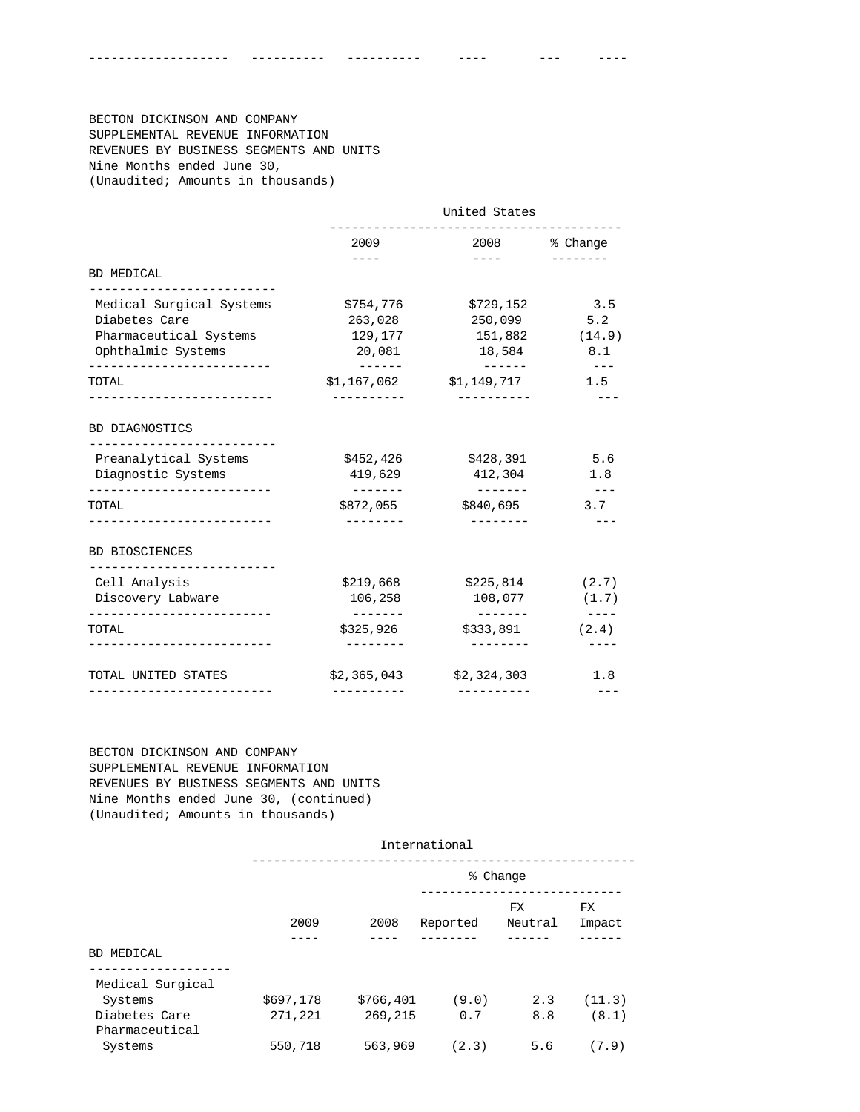BECTON DICKINSON AND COMPANY SUPPLEMENTAL REVENUE INFORMATION REVENUES BY BUSINESS SEGMENTS AND UNITS Nine Months ended June 30, (Unaudited; Amounts in thousands)

|                                                                                                 | United States                                                                                                                                                                                                                                                                                                                                                                                                                                                                                                  |                                                                                                                                                                                                                                                                                                                                                                                                                                                                            |                         |  |
|-------------------------------------------------------------------------------------------------|----------------------------------------------------------------------------------------------------------------------------------------------------------------------------------------------------------------------------------------------------------------------------------------------------------------------------------------------------------------------------------------------------------------------------------------------------------------------------------------------------------------|----------------------------------------------------------------------------------------------------------------------------------------------------------------------------------------------------------------------------------------------------------------------------------------------------------------------------------------------------------------------------------------------------------------------------------------------------------------------------|-------------------------|--|
|                                                                                                 | 2009                                                                                                                                                                                                                                                                                                                                                                                                                                                                                                           |                                                                                                                                                                                                                                                                                                                                                                                                                                                                            | 2008 % Change           |  |
| BD MEDICAL                                                                                      |                                                                                                                                                                                                                                                                                                                                                                                                                                                                                                                | $\frac{1}{2} \left( \frac{1}{2} \right) \left( \frac{1}{2} \right) \left( \frac{1}{2} \right) \left( \frac{1}{2} \right) \left( \frac{1}{2} \right) \left( \frac{1}{2} \right) \left( \frac{1}{2} \right) \left( \frac{1}{2} \right) \left( \frac{1}{2} \right) \left( \frac{1}{2} \right) \left( \frac{1}{2} \right) \left( \frac{1}{2} \right) \left( \frac{1}{2} \right) \left( \frac{1}{2} \right) \left( \frac{1}{2} \right) \left( \frac{1}{2} \right) \left( \frac$ |                         |  |
| ___________________________<br>Medical Surgical Systems                                         | \$754,776                                                                                                                                                                                                                                                                                                                                                                                                                                                                                                      | \$729,152                                                                                                                                                                                                                                                                                                                                                                                                                                                                  | 3.5                     |  |
| Diabetes Care                                                                                   | 263,028                                                                                                                                                                                                                                                                                                                                                                                                                                                                                                        | 250,099                                                                                                                                                                                                                                                                                                                                                                                                                                                                    | 5.2                     |  |
| Pharmaceutical Systems                                                                          | 129,177                                                                                                                                                                                                                                                                                                                                                                                                                                                                                                        | 151,882                                                                                                                                                                                                                                                                                                                                                                                                                                                                    | (14.9)                  |  |
| Ophthalmic Systems<br>-------------------------                                                 | 20,081                                                                                                                                                                                                                                                                                                                                                                                                                                                                                                         | 18,584                                                                                                                                                                                                                                                                                                                                                                                                                                                                     | 8.1<br>$- - -$          |  |
| TOTAL                                                                                           |                                                                                                                                                                                                                                                                                                                                                                                                                                                                                                                | $$1,167,062$ $$1,149,717$                                                                                                                                                                                                                                                                                                                                                                                                                                                  | 1.5                     |  |
| <b>BD DIAGNOSTICS</b><br>-----------------------<br>Preanalytical Systems<br>Diagnostic Systems | \$452,426<br>419,629<br>$\begin{array}{cccccccccc} \multicolumn{2}{c}{} & \multicolumn{2}{c}{} & \multicolumn{2}{c}{} & \multicolumn{2}{c}{} & \multicolumn{2}{c}{} & \multicolumn{2}{c}{} & \multicolumn{2}{c}{} & \multicolumn{2}{c}{} & \multicolumn{2}{c}{} & \multicolumn{2}{c}{} & \multicolumn{2}{c}{} & \multicolumn{2}{c}{} & \multicolumn{2}{c}{} & \multicolumn{2}{c}{} & \multicolumn{2}{c}{} & \multicolumn{2}{c}{} & \multicolumn{2}{c}{} & \multicolumn{2}{c}{} & \multicolumn{2}{c}{} & \mult$ | \$428,391<br>412,304<br>________                                                                                                                                                                                                                                                                                                                                                                                                                                           | 5.6<br>1.8<br>$- - - -$ |  |
| TOTAL<br>---------------------                                                                  | \$872,055                                                                                                                                                                                                                                                                                                                                                                                                                                                                                                      | \$840,695                                                                                                                                                                                                                                                                                                                                                                                                                                                                  | 3.7                     |  |
| <b>BD BIOSCIENCES</b><br>------------------------                                               |                                                                                                                                                                                                                                                                                                                                                                                                                                                                                                                |                                                                                                                                                                                                                                                                                                                                                                                                                                                                            |                         |  |
| Cell Analysis                                                                                   | \$219,668                                                                                                                                                                                                                                                                                                                                                                                                                                                                                                      | \$225,814                                                                                                                                                                                                                                                                                                                                                                                                                                                                  | (2.7)                   |  |
| Discovery Labware                                                                               | 106,258                                                                                                                                                                                                                                                                                                                                                                                                                                                                                                        | 108,077                                                                                                                                                                                                                                                                                                                                                                                                                                                                    | (1.7)                   |  |
| -------------------------<br><b>TOTAL</b>                                                       | --------<br>\$325,926                                                                                                                                                                                                                                                                                                                                                                                                                                                                                          | --------<br>\$333,891                                                                                                                                                                                                                                                                                                                                                                                                                                                      | $- - - - -$<br>(2.4)    |  |
|                                                                                                 |                                                                                                                                                                                                                                                                                                                                                                                                                                                                                                                |                                                                                                                                                                                                                                                                                                                                                                                                                                                                            |                         |  |

------------------- ---------- ---------- ---- --- ----

 BECTON DICKINSON AND COMPANY SUPPLEMENTAL REVENUE INFORMATION REVENUES BY BUSINESS SEGMENTS AND UNITS Nine Months ended June 30, (continued) (Unaudited; Amounts in thousands)

|                                 |           |           | International |                |               |
|---------------------------------|-----------|-----------|---------------|----------------|---------------|
|                                 |           |           |               | % Change       |               |
|                                 | 2009      | 2008      | Reported      | FX.<br>Neutral | FX.<br>Impact |
| <b>BD MEDICAL</b>               |           |           |               |                |               |
|                                 |           |           |               |                |               |
| Medical Surgical<br>Systems     | \$697,178 | \$766,401 | (9.0)         | 2.3            | (11.3)        |
| Diabetes Care<br>Pharmaceutical | 271,221   | 269,215   | 0.7           | 8.8            | (8.1)         |
| Systems                         | 550,718   | 563,969   | (2.3)         | 5.6            | (7.9)         |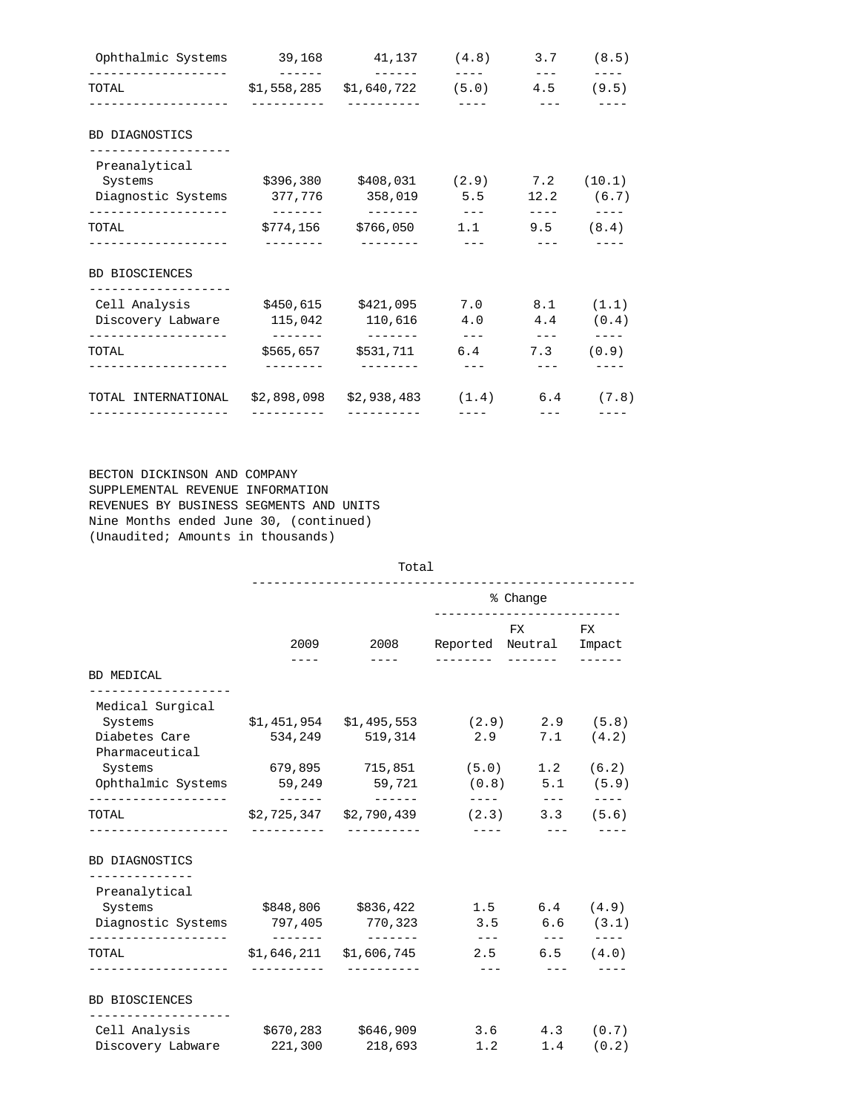| Ophthalmic Systems                                                                                   |             | 39,168 41,137 (4.8) 3.7 (8.5)                                                  |                                                      |                |                                                                                                                                                                                                                                                                                                                                                                                                                                                                                                              |
|------------------------------------------------------------------------------------------------------|-------------|--------------------------------------------------------------------------------|------------------------------------------------------|----------------|--------------------------------------------------------------------------------------------------------------------------------------------------------------------------------------------------------------------------------------------------------------------------------------------------------------------------------------------------------------------------------------------------------------------------------------------------------------------------------------------------------------|
| TOTAL TOTAL                                                                                          |             | $$1,558,285$ $$1,640,722$ (5.0) 4.5 (9.5)                                      |                                                      |                |                                                                                                                                                                                                                                                                                                                                                                                                                                                                                                              |
| BD DIAGNOSTICS                                                                                       |             |                                                                                |                                                      |                |                                                                                                                                                                                                                                                                                                                                                                                                                                                                                                              |
| Preanalytical<br>Systems<br>Diagnostic Systems 377,776 358,019 5.5                                   |             | $$396,380$ $$408,031$ $(2.9)$ 7.2 $(10.1)$                                     |                                                      |                | $12.2$ (6.7)                                                                                                                                                                                                                                                                                                                                                                                                                                                                                                 |
| TOTAL                                                                                                |             | <u> 1986 - Alexander State Barbara (h. 1986).</u><br>$$774,156$ $$766,050$ 1.1 |                                                      | 9.5            | $\begin{tabular}{lllllllll} \toprule & $\mathbb{R}$ & $\mathbb{R}$ & $\mathbb{R}$ & $\mathbb{R}$ & $\mathbb{R}$ & $\mathbb{R}$ \\ \toprule & $\mathbb{R}$ & $\mathbb{R}$ & $\mathbb{R}$ & $\mathbb{R}$ & $\mathbb{R}$ & $\mathbb{R}$ & $\mathbb{R}$ & $\mathbb{R}$ \\ \toprule & $\mathbb{R}$ & $\mathbb{R}$ & $\mathbb{R}$ & $\mathbb{R}$ & $\mathbb{R}$ & $\mathbb{R}$ & $\mathbb{R}$ & $\mathbb{R}$ & $\mathbb{R}$ & $\mathbb{R}$ & $\mathbb{R}$ & $\mathbb{R}$ & $\mathbb{R}$ & $\mathbb{R}$ &$<br>(8.4) |
| <b>BD BIOSCIENCES</b>                                                                                |             |                                                                                |                                                      |                |                                                                                                                                                                                                                                                                                                                                                                                                                                                                                                              |
| Cell Analysis $$450,615$ $$421,095$ 7.0 8.1 (1.1)<br>Discovery Labware 115,042 110,616 4.0 4.4 (0.4) |             |                                                                                |                                                      |                |                                                                                                                                                                                                                                                                                                                                                                                                                                                                                                              |
| TOTAL                                                                                                | ___________ | ________<br>$$565,657$ $$531,711$ 6.4                                          | and the season of the season of the season<br>______ | 7.3<br>$- - -$ | (0.9)                                                                                                                                                                                                                                                                                                                                                                                                                                                                                                        |
| TOTAL INTERNATIONAL<br>------------------                                                            | ----------  | $$2,898,098$ $$2,938,483$ $(1.4)$ 6.4 $(7.8)$                                  |                                                      |                |                                                                                                                                                                                                                                                                                                                                                                                                                                                                                                              |

 BECTON DICKINSON AND COMPANY SUPPLEMENTAL REVENUE INFORMATION REVENUES BY BUSINESS SEGMENTS AND UNITS Nine Months ended June 30, (continued) (Unaudited; Amounts in thousands)

|                                          |               | Total                                |                            |                            |                            |
|------------------------------------------|---------------|--------------------------------------|----------------------------|----------------------------|----------------------------|
|                                          | % Change      |                                      |                            |                            |                            |
|                                          | 2009          | 2008                                 | Reported Neutral Impact    | FX.                        | FX                         |
| BD MEDICAL                               |               |                                      |                            |                            |                            |
| --------------------<br>Medical Surgical |               |                                      |                            |                            |                            |
| Systems                                  |               | $$1,451,954$ $$1,495,553$ (2.9)      |                            | 2.9                        | (5.8)                      |
| Diabetes Care<br>Pharmaceutical          | 534,249       | 519,314                              | 2.9                        | 7.1                        | (4.2)                      |
| Systems                                  |               | 679,895 715,851 (5.0)                |                            | 1.2                        | (6.2)                      |
| Ophthalmic Systems                       | $- - - - - -$ | 59,249 59,721                        | (0.8)<br>$---$             | $- - -$                    | $5.1$ (5.9)<br>$- - - - -$ |
| TOTAL                                    |               | \$2,725,347 \$2,790,439              | (2.3)<br>$- - - - -$       | 3.3<br>$\qquad \qquad - -$ | (5.6)                      |
| BD DIAGNOSTICS                           |               |                                      |                            |                            |                            |
| --------------<br>Preanalytical          |               |                                      |                            |                            |                            |
| Systems                                  |               | \$848,806 \$836,422                  |                            | 1.5<br>6.4                 | (4.9)                      |
| Diagnostic Systems                       | --------      | 797,405 770,323<br>$- - - - - - - -$ | 3.5<br>$\qquad \qquad - -$ | $\qquad \qquad - -$        | 6.6 (3.1)<br>$- - - - -$   |
| TOTAL                                    |               | $$1,646,211$ $$1,606,745$            |                            | 2.5                        | $6.5$ $(4.0)$              |
| ----------------                         |               |                                      | $- - - -$                  | $- - - -$                  |                            |
| <b>BD BIOSCIENCES</b>                    |               |                                      |                            |                            |                            |
| Cell Analysis                            |               | \$670,283 \$646,909                  |                            | 3.6                        | $4.3$ $(0.7)$              |
| Discovery Labware                        |               | 221,300 218,693                      | 1.2                        | 1.4                        | (0.2)                      |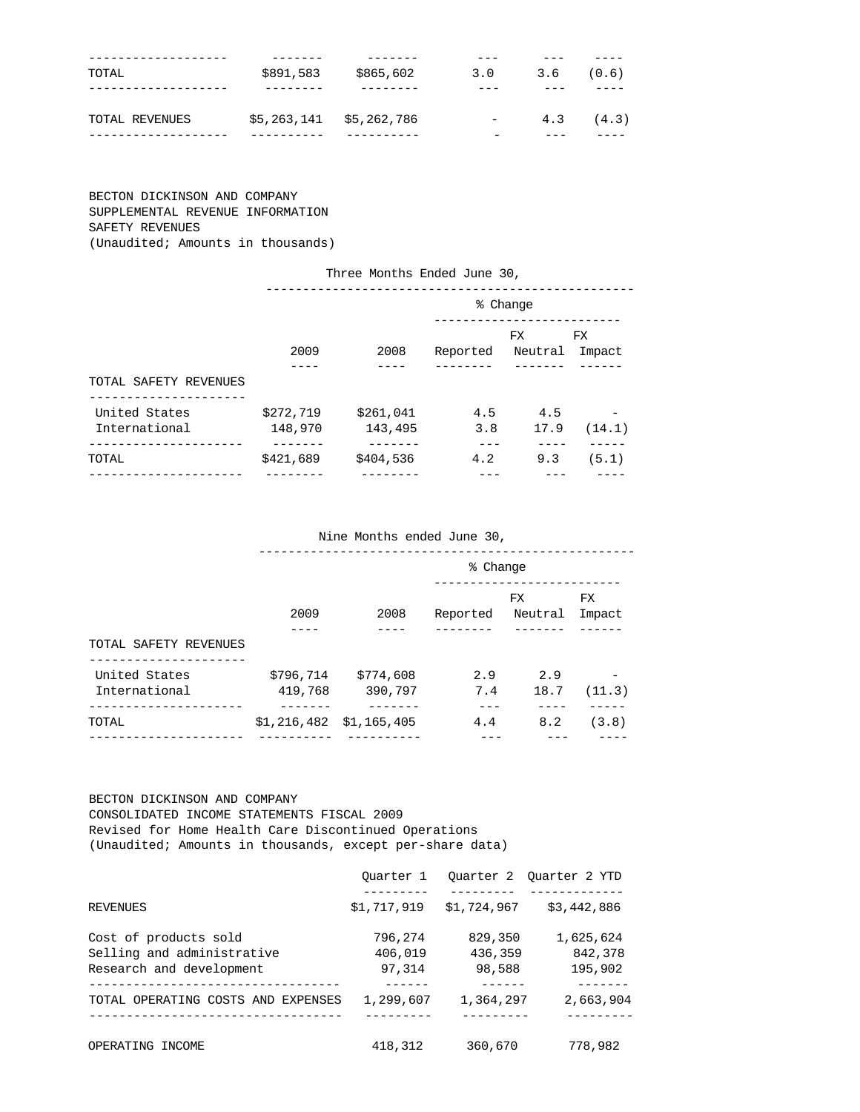| -----------    |                           |           |          |     |       |
|----------------|---------------------------|-----------|----------|-----|-------|
| TOTAL          | \$891,583                 | \$865,602 | 3.0      | 3.6 | (0.6) |
|                |                           |           | _ _ _    |     |       |
|                |                           |           |          |     |       |
| TOTAL REVENUES | $$5,263,141$ $$5,262,786$ |           | $\equiv$ | 4.3 | (4.3) |
| ____________   |                           | _______   |          |     |       |

# BECTON DICKINSON AND COMPANY SUPPLEMENTAL REVENUE INFORMATION SAFETY REVENUES (Unaudited; Amounts in thousands)

|                       |           | Three Months Ended June 30, |          |          |           |
|-----------------------|-----------|-----------------------------|----------|----------|-----------|
|                       |           |                             |          | % Change |           |
|                       |           |                             |          | FX.      | <b>FX</b> |
|                       | 2009      | 2008                        | Reported | Neutral  | Impact    |
|                       |           |                             |          |          |           |
| TOTAL SAFETY REVENUES |           |                             |          |          |           |
|                       |           |                             |          |          |           |
| United States         | \$272,719 | \$261,041                   | 4.5      | 4.5      |           |
| International         | 148,970   | 143,495                     | 3.8      | 17.9     | (14.1)    |
|                       |           |                             |          |          |           |
| TOTAL                 | \$421,689 | \$404,536                   | 4.2      | 9.3      | (5.1)     |
|                       |           |                             |          |          |           |

#### Nine Months ended June 30,

|                       | % Change                  |           |          |                |               |
|-----------------------|---------------------------|-----------|----------|----------------|---------------|
|                       | 2009                      | 2008      | Reported | FX.<br>Neutral | FX.<br>Impact |
| TOTAL SAFETY REVENUES |                           |           |          |                |               |
| United States         | \$796,714                 | \$774,608 | 2.9      | 2.9            |               |
| International         | 419,768                   | 390,797   | 7.4      | 18.7           | (11.3)        |
| TOTAL                 | $$1,216,482$ $$1,165,405$ |           | 4.4      | 8.2            | (3.8)         |
|                       |                           |           |          |                |               |

### BECTON DICKINSON AND COMPANY

 CONSOLIDATED INCOME STATEMENTS FISCAL 2009 Revised for Home Health Care Discontinued Operations (Unaudited; Amounts in thousands, except per-share data)

|                                    | Ouarter 1   |             | Ouarter 2 Ouarter 2 YTD |
|------------------------------------|-------------|-------------|-------------------------|
| <b>REVENUES</b>                    | \$1,717,919 | \$1,724,967 | \$3,442,886             |
| Cost of products sold              | 796,274     | 829,350     | 1,625,624               |
| Selling and administrative         | 406,019     | 436,359     | 842,378                 |
| Research and development           | 97.314      | 98,588      | 195,902                 |
|                                    |             |             |                         |
| TOTAL OPERATING COSTS AND EXPENSES | 1,299,607   | 1,364,297   | 2,663,904               |
|                                    |             |             |                         |
| OPERATING INCOME                   | 418,312     | 360,670     | 778,982                 |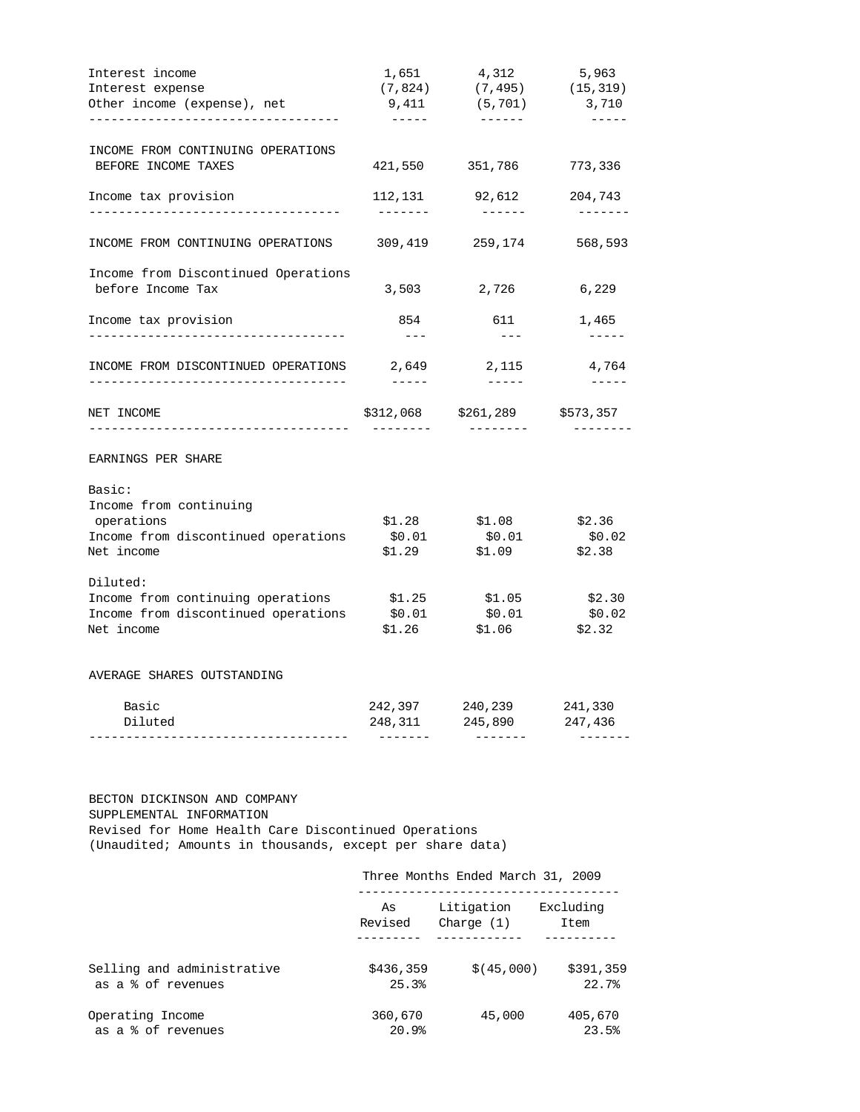| Interest income                                                     | 1,651                                                                                                                                                                                                                                                                                                                                                                                                 | 4,312                                      | 5,963                       |
|---------------------------------------------------------------------|-------------------------------------------------------------------------------------------------------------------------------------------------------------------------------------------------------------------------------------------------------------------------------------------------------------------------------------------------------------------------------------------------------|--------------------------------------------|-----------------------------|
| Interest expense                                                    | (7, 824)                                                                                                                                                                                                                                                                                                                                                                                              | (7, 495)                                   | (15, 319)                   |
| Other income (expense), net<br>------------------------------------ | 9,411<br>$\frac{1}{2} \frac{1}{2} \frac{1}{2} \frac{1}{2} \frac{1}{2} \frac{1}{2} \frac{1}{2} \frac{1}{2} \frac{1}{2} \frac{1}{2} \frac{1}{2} \frac{1}{2} \frac{1}{2} \frac{1}{2} \frac{1}{2} \frac{1}{2} \frac{1}{2} \frac{1}{2} \frac{1}{2} \frac{1}{2} \frac{1}{2} \frac{1}{2} \frac{1}{2} \frac{1}{2} \frac{1}{2} \frac{1}{2} \frac{1}{2} \frac{1}{2} \frac{1}{2} \frac{1}{2} \frac{1}{2} \frac{$ | (5, 701)                                   | 3,710<br>$- - - - - -$      |
| INCOME FROM CONTINUING OPERATIONS                                   |                                                                                                                                                                                                                                                                                                                                                                                                       |                                            |                             |
| BEFORE INCOME TAXES                                                 |                                                                                                                                                                                                                                                                                                                                                                                                       | 421,550 351,786                            | 773,336                     |
| Income tax provision<br>-----------------------------------         | $- - - - - - -$                                                                                                                                                                                                                                                                                                                                                                                       | 112,131 92,612                             | 204,743<br>-------          |
| INCOME FROM CONTINUING OPERATIONS                                   | 309,419                                                                                                                                                                                                                                                                                                                                                                                               | 259,174                                    | 568,593                     |
| Income from Discontinued Operations                                 |                                                                                                                                                                                                                                                                                                                                                                                                       |                                            |                             |
| before Income Tax                                                   | 3,503                                                                                                                                                                                                                                                                                                                                                                                                 | 2,726                                      | 6,229                       |
| Income tax provision<br>------------------------------------        | 854<br>$- - -$                                                                                                                                                                                                                                                                                                                                                                                        | 611<br>$\qquad \qquad - -$                 | 1,465<br>$- - - - - -$      |
| INCOME FROM DISCONTINUED OPERATIONS                                 | 2,649                                                                                                                                                                                                                                                                                                                                                                                                 | 2,115                                      | 4,764                       |
|                                                                     | $\frac{1}{2} \frac{1}{2} \frac{1}{2} \frac{1}{2} \frac{1}{2} \frac{1}{2} \frac{1}{2} \frac{1}{2} \frac{1}{2} \frac{1}{2} \frac{1}{2} \frac{1}{2} \frac{1}{2} \frac{1}{2} \frac{1}{2} \frac{1}{2} \frac{1}{2} \frac{1}{2} \frac{1}{2} \frac{1}{2} \frac{1}{2} \frac{1}{2} \frac{1}{2} \frac{1}{2} \frac{1}{2} \frac{1}{2} \frac{1}{2} \frac{1}{2} \frac{1}{2} \frac{1}{2} \frac{1}{2} \frac{$          | $\frac{1}{2}$                              | $- - - - - -$               |
|                                                                     |                                                                                                                                                                                                                                                                                                                                                                                                       |                                            |                             |
| NET INCOME<br>-------------------------------                       |                                                                                                                                                                                                                                                                                                                                                                                                       | \$312,068 \$261,289 \$573,357<br>--------- |                             |
| EARNINGS PER SHARE                                                  |                                                                                                                                                                                                                                                                                                                                                                                                       |                                            |                             |
| Basic:                                                              |                                                                                                                                                                                                                                                                                                                                                                                                       |                                            |                             |
| Income from continuing                                              |                                                                                                                                                                                                                                                                                                                                                                                                       |                                            |                             |
| operations                                                          |                                                                                                                                                                                                                                                                                                                                                                                                       | $$1.28$ $$1.08$                            | \$2.36                      |
| Income from discontinued operations<br>Net income                   | \$0.01<br>\$1.29                                                                                                                                                                                                                                                                                                                                                                                      | \$0.01<br>\$1.09                           | \$2.38                      |
| Diluted:                                                            |                                                                                                                                                                                                                                                                                                                                                                                                       |                                            | \$0.02                      |
| Income from continuing operations                                   | \$1.25                                                                                                                                                                                                                                                                                                                                                                                                | \$1.05                                     |                             |
| Income from discontinued operations                                 | \$0.01                                                                                                                                                                                                                                                                                                                                                                                                | \$0.01                                     |                             |
| Net income                                                          |                                                                                                                                                                                                                                                                                                                                                                                                       | $$1.26$ $$1.06$                            | \$2.32                      |
| AVERAGE SHARES OUTSTANDING                                          |                                                                                                                                                                                                                                                                                                                                                                                                       |                                            |                             |
| Basic                                                               | 242,397<br>248,311                                                                                                                                                                                                                                                                                                                                                                                    | 240,239<br>245,890 247,436                 | \$2.30<br>\$0.02<br>241,330 |

 BECTON DICKINSON AND COMPANY SUPPLEMENTAL INFORMATION Revised for Home Health Care Discontinued Operations (Unaudited; Amounts in thousands, except per share data)

|                            | Three Months Ended March 31, 2009 |              |           |  |  |
|----------------------------|-----------------------------------|--------------|-----------|--|--|
|                            | As                                | Litigation   | Excluding |  |  |
|                            | Revised                           | Charge $(1)$ | Item      |  |  |
| Selling and administrative | \$436,359                         | \$ (45,000)  | \$391,359 |  |  |
| as a % of revenues         | 25.3%                             |              | 22.7%     |  |  |
| Operating Income           | 360,670                           | 45,000       | 405,670   |  |  |
| as a % of revenues         | 20.9%                             |              | 23.5%     |  |  |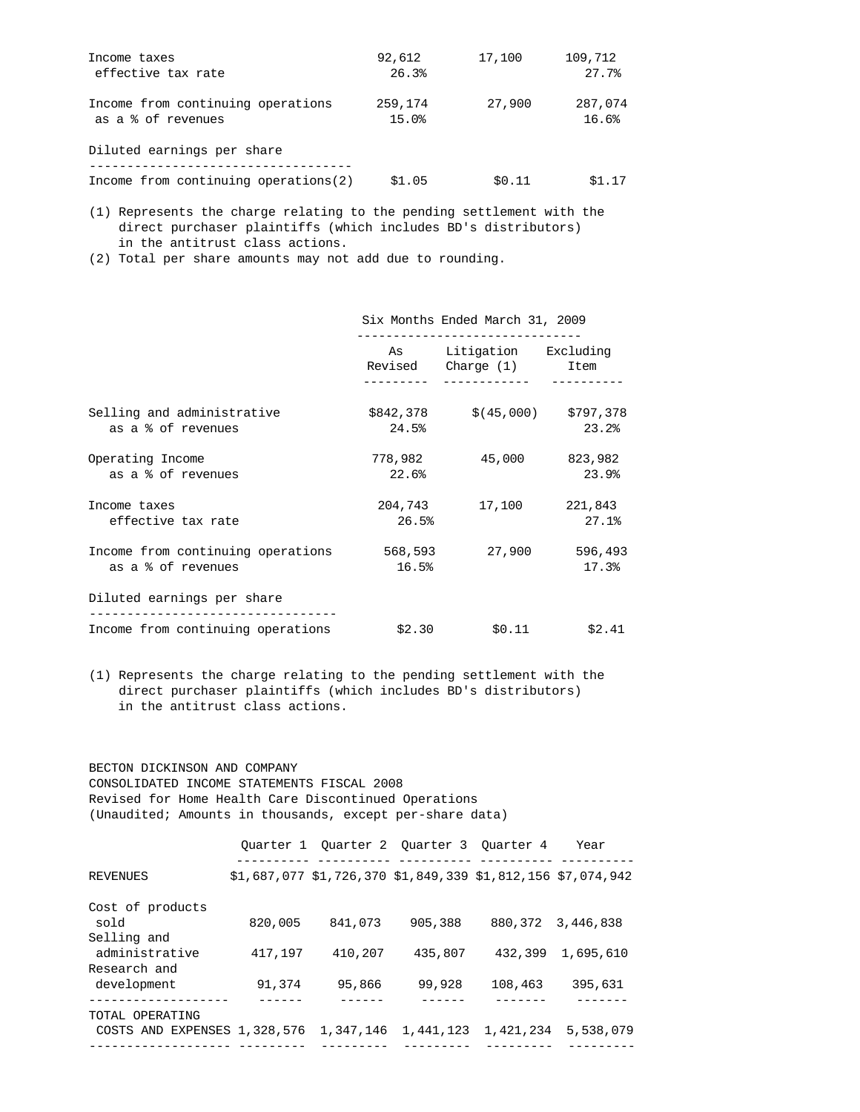| Income taxes                          | 92,612  | 17,100 | 109,712 |
|---------------------------------------|---------|--------|---------|
| effective tax rate                    | 26.3%   |        | 27.7%   |
| Income from continuing operations     | 259,174 | 27,900 | 287,074 |
| as a % of revenues                    | 15.0%   |        | 16.6%   |
| Diluted earnings per share            |         |        |         |
| Income from continuing operations (2) | \$1.05  | \$0.11 | \$1.17  |

 (1) Represents the charge relating to the pending settlement with the direct purchaser plaintiffs (which includes BD's distributors) in the antitrust class actions.

(2) Total per share amounts may not add due to rounding.

|                                                         | Six Months Ended March 31, 2009                                                                                                                                                                                                 |                                            |                  |  |
|---------------------------------------------------------|---------------------------------------------------------------------------------------------------------------------------------------------------------------------------------------------------------------------------------|--------------------------------------------|------------------|--|
|                                                         | As the contract of the contract of the contract of the contract of the contract of the contract of the contract of the contract of the contract of the contract of the contract of the contract of the contract of the contract | Litigation Excluding<br>Revised Charge (1) | Item             |  |
| Selling and administrative<br>as a % of revenues        | 24.5%                                                                                                                                                                                                                           | $$842,378$ $$(45,000)$ $$797,378$          | 23.2%            |  |
| Operating Income<br>as a % of revenues                  | 778,982<br>22.6%                                                                                                                                                                                                                | 45,000                                     | 823,982<br>23.9% |  |
| Income taxes<br>effective tax rate                      | 26.5%                                                                                                                                                                                                                           | 204,743 17,100                             | 221,843<br>27.1% |  |
| Income from continuing operations<br>as a % of revenues | 568,593<br>16.5%                                                                                                                                                                                                                | 27,900                                     | 596,493<br>17.3% |  |
| Diluted earnings per share                              |                                                                                                                                                                                                                                 |                                            |                  |  |
| Income from continuing operations                       | \$2.30                                                                                                                                                                                                                          | \$0.11                                     | \$2.41           |  |

 (1) Represents the charge relating to the pending settlement with the direct purchaser plaintiffs (which includes BD's distributors) in the antitrust class actions.

 BECTON DICKINSON AND COMPANY CONSOLIDATED INCOME STATEMENTS FISCAL 2008 Revised for Home Health Care Discontinued Operations (Unaudited; Amounts in thousands, except per-share data)

|                                        |         | Quarter 1 Quarter 2 Quarter 3 Ouarter 4                          |           |         | Year                |
|----------------------------------------|---------|------------------------------------------------------------------|-----------|---------|---------------------|
| <b>REVENUES</b>                        |         | $$1,687,077$ $$1,726,370$ $$1,849,339$ $$1,812,156$ $$7,074,942$ |           |         |                     |
| Cost of products                       |         |                                                                  |           |         |                     |
| sold                                   | 820,005 | 841,073                                                          | 905,388   | 880,372 | 3,446,838           |
| Selling and                            |         |                                                                  |           |         |                     |
| administrative                         | 417,197 | 410,207                                                          | 435,807   | 432,399 | 1,695,610           |
| Research and                           |         |                                                                  |           |         |                     |
| development                            | 91,374  | 95,866                                                           | 99,928    | 108,463 | 395,631             |
|                                        |         |                                                                  |           |         |                     |
| TOTAL OPERATING                        |         |                                                                  |           |         |                     |
| COSTS AND EXPENSES 1,328,576 1,347,146 |         |                                                                  | 1,441,123 |         | 1,421,234 5,538,079 |
|                                        |         |                                                                  |           |         |                     |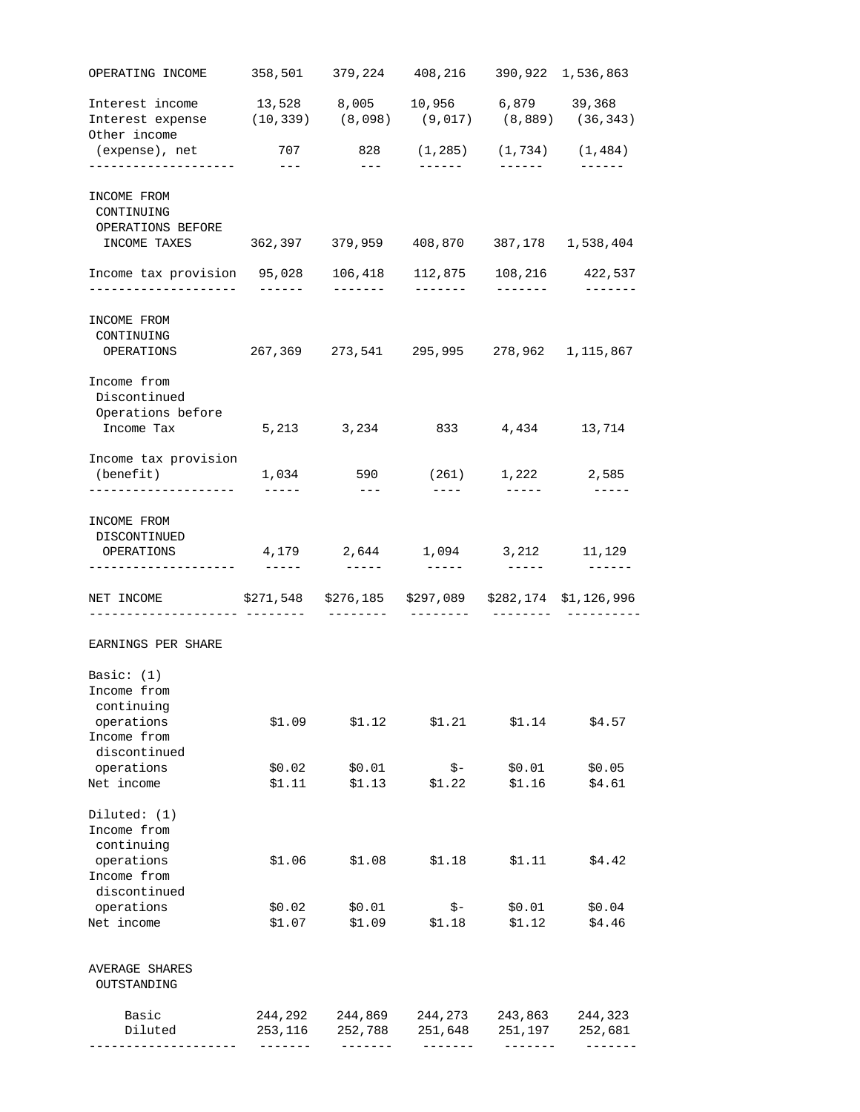|                                                                                                                          |                           |                               | 358,501 379,224 408,216 | 390,922 1,536,863                                                                                                                                                                                                                                                                                                                                                                            |                              |
|--------------------------------------------------------------------------------------------------------------------------|---------------------------|-------------------------------|-------------------------|----------------------------------------------------------------------------------------------------------------------------------------------------------------------------------------------------------------------------------------------------------------------------------------------------------------------------------------------------------------------------------------------|------------------------------|
| Interest income   13,528   8,005   10,956   6,879   39,368<br>Interest expense (10,339) (8,098) (9,017) (8,889) (36,343) |                           |                               |                         |                                                                                                                                                                                                                                                                                                                                                                                              |                              |
| Other income<br>(expense), net                                                                                           | 707                       | 828                           |                         | $(1, 285)$ $(1, 734)$ $(1, 484)$                                                                                                                                                                                                                                                                                                                                                             |                              |
| ---------------------                                                                                                    | $\frac{1}{2}$             | $---$                         | $- - - - - - -$         | -------                                                                                                                                                                                                                                                                                                                                                                                      | $- - - - - - -$              |
| INCOME FROM                                                                                                              |                           |                               |                         |                                                                                                                                                                                                                                                                                                                                                                                              |                              |
| CONTINUING                                                                                                               |                           |                               |                         |                                                                                                                                                                                                                                                                                                                                                                                              |                              |
| OPERATIONS BEFORE                                                                                                        |                           |                               |                         |                                                                                                                                                                                                                                                                                                                                                                                              |                              |
| INCOME TAXES 362,397 379,959 408,870 387,178 1,538,404                                                                   |                           |                               |                         |                                                                                                                                                                                                                                                                                                                                                                                              |                              |
| Income tax provision 95,028<br>-------------------                                                                       | $- - - - - - -$           | 106,418<br>-------            | 112,875<br>-------      | -------                                                                                                                                                                                                                                                                                                                                                                                      | 108,216 422,537              |
| INCOME FROM                                                                                                              |                           |                               |                         |                                                                                                                                                                                                                                                                                                                                                                                              |                              |
| CONTINUING                                                                                                               |                           |                               |                         |                                                                                                                                                                                                                                                                                                                                                                                              |                              |
| OPERATIONS                                                                                                               |                           | 267,369 273,541 295,995       |                         |                                                                                                                                                                                                                                                                                                                                                                                              | 278,962 1,115,867            |
| Income from                                                                                                              |                           |                               |                         |                                                                                                                                                                                                                                                                                                                                                                                              |                              |
| Discontinued                                                                                                             |                           |                               |                         |                                                                                                                                                                                                                                                                                                                                                                                              |                              |
| Operations before                                                                                                        |                           |                               |                         |                                                                                                                                                                                                                                                                                                                                                                                              |                              |
| Income Tax                                                                                                               |                           | 5, 213 3, 234                 | 833                     | 4,434                                                                                                                                                                                                                                                                                                                                                                                        | 13,714                       |
| Income tax provision                                                                                                     |                           |                               |                         |                                                                                                                                                                                                                                                                                                                                                                                              |                              |
| (benefit)<br>--------------------                                                                                        | 1,034<br>$- - - - - -$    | 590<br>$- - -$                | (261)<br>$- - - - -$    | $\frac{1}{2} \frac{1}{2} \frac{1}{2} \frac{1}{2} \frac{1}{2} \frac{1}{2} \frac{1}{2} \frac{1}{2} \frac{1}{2} \frac{1}{2} \frac{1}{2} \frac{1}{2} \frac{1}{2} \frac{1}{2} \frac{1}{2} \frac{1}{2} \frac{1}{2} \frac{1}{2} \frac{1}{2} \frac{1}{2} \frac{1}{2} \frac{1}{2} \frac{1}{2} \frac{1}{2} \frac{1}{2} \frac{1}{2} \frac{1}{2} \frac{1}{2} \frac{1}{2} \frac{1}{2} \frac{1}{2} \frac{$ | 1,222 2,585<br>$- - - - - -$ |
|                                                                                                                          |                           |                               |                         |                                                                                                                                                                                                                                                                                                                                                                                              |                              |
| INCOME FROM                                                                                                              |                           |                               |                         |                                                                                                                                                                                                                                                                                                                                                                                              |                              |
| DISCONTINUED                                                                                                             |                           |                               |                         |                                                                                                                                                                                                                                                                                                                                                                                              |                              |
| OPERATIONS                                                                                                               |                           |                               |                         |                                                                                                                                                                                                                                                                                                                                                                                              |                              |
| -------------------                                                                                                      | $\qquad \qquad - - - - -$ | ------                        |                         | 4,179 2,644 1,094 3,212 11,129<br>------                                                                                                                                                                                                                                                                                                                                                     |                              |
| NET INCOME                                                                                                               |                           | \$271,548 \$276,185 \$297,089 |                         |                                                                                                                                                                                                                                                                                                                                                                                              | \$282,174 \$1,126,996        |
|                                                                                                                          |                           |                               |                         |                                                                                                                                                                                                                                                                                                                                                                                              |                              |
| EARNINGS PER SHARE                                                                                                       |                           |                               |                         |                                                                                                                                                                                                                                                                                                                                                                                              |                              |
| Basic: $(1)$                                                                                                             |                           |                               |                         |                                                                                                                                                                                                                                                                                                                                                                                              |                              |
| Income from                                                                                                              |                           |                               |                         |                                                                                                                                                                                                                                                                                                                                                                                              |                              |
| continuing                                                                                                               |                           |                               |                         |                                                                                                                                                                                                                                                                                                                                                                                              |                              |
| operations                                                                                                               | \$1.09                    | \$1.12                        | \$1.21                  | \$1.14                                                                                                                                                                                                                                                                                                                                                                                       | \$4.57                       |
| Income from                                                                                                              |                           |                               |                         |                                                                                                                                                                                                                                                                                                                                                                                              |                              |
| discontinued                                                                                                             |                           |                               |                         |                                                                                                                                                                                                                                                                                                                                                                                              |                              |
| operations                                                                                                               | \$0.02                    | \$0.01                        | \$-                     | \$0.01                                                                                                                                                                                                                                                                                                                                                                                       | \$0.05                       |
| Net income                                                                                                               | \$1.11                    | \$1.13                        | \$1.22                  | \$1.16                                                                                                                                                                                                                                                                                                                                                                                       | \$4.61                       |
| Diluted: $(1)$                                                                                                           |                           |                               |                         |                                                                                                                                                                                                                                                                                                                                                                                              |                              |
| Income from                                                                                                              |                           |                               |                         |                                                                                                                                                                                                                                                                                                                                                                                              |                              |
| continuing                                                                                                               |                           |                               |                         |                                                                                                                                                                                                                                                                                                                                                                                              |                              |
| operations                                                                                                               | \$1.06                    | \$1.08                        | \$1.18                  | \$1.11                                                                                                                                                                                                                                                                                                                                                                                       | \$4.42                       |
| Income from                                                                                                              |                           |                               |                         |                                                                                                                                                                                                                                                                                                                                                                                              |                              |
| discontinued                                                                                                             |                           |                               |                         |                                                                                                                                                                                                                                                                                                                                                                                              |                              |
| operations<br>Net income                                                                                                 | \$0.02<br>\$1.07          | \$0.01<br>\$1.09              | $\zeta$ –<br>\$1.18     | \$0.01<br>\$1.12                                                                                                                                                                                                                                                                                                                                                                             | \$0.04<br>\$4.46             |
|                                                                                                                          |                           |                               |                         |                                                                                                                                                                                                                                                                                                                                                                                              |                              |
| AVERAGE SHARES<br>OUTSTANDING                                                                                            |                           |                               |                         |                                                                                                                                                                                                                                                                                                                                                                                              |                              |
| Basic                                                                                                                    | 244,292                   | 244,869                       | 244,273                 | 243,863                                                                                                                                                                                                                                                                                                                                                                                      | 244,323                      |